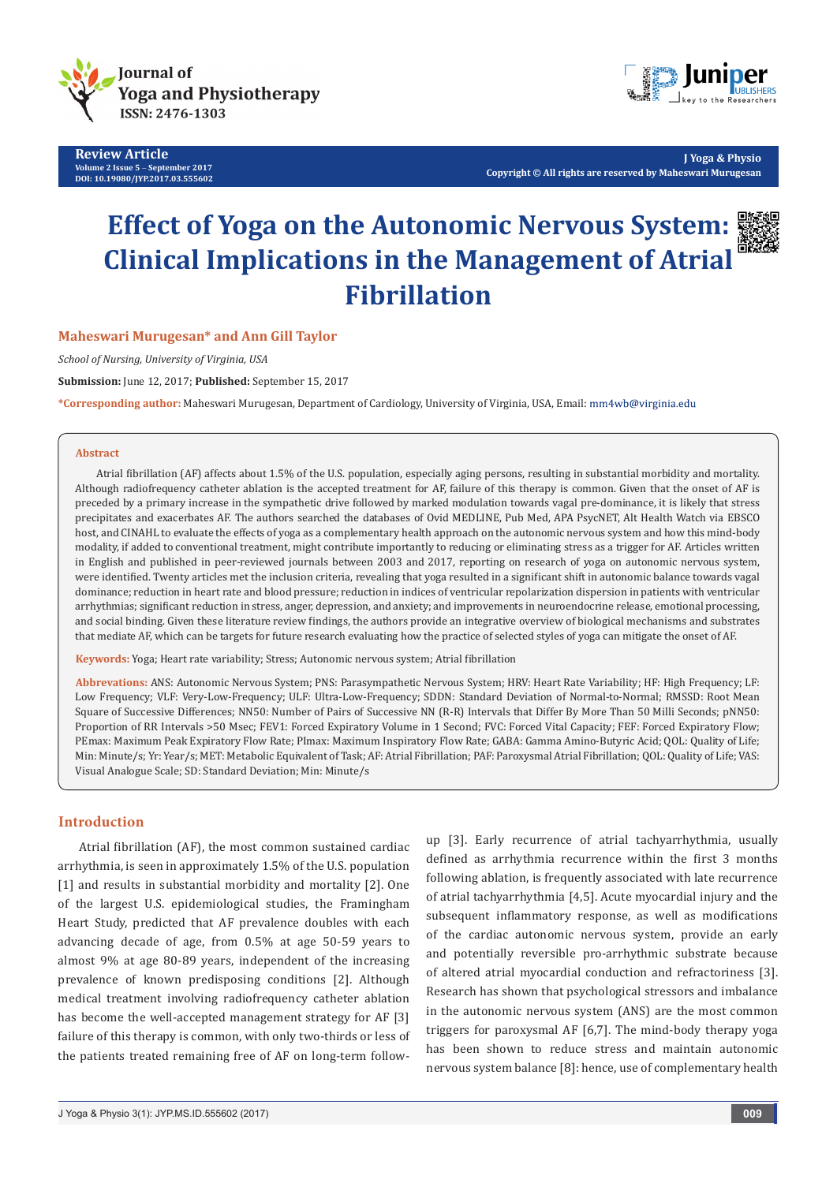

**Review Article Volume 2 Issue 5** - **September 2017 DOI: [10.19080/JYP.2017.03.555602](http://dx.doi.org/10.19080/JYP.2017.03.555602)**



**J Yoga & Physio Copyright © All rights are reserved by Maheswari Murugesan**

# **Effect of Yoga on the Autonomic Nervous System: Clinical Implications in the Management of Atrial Fibrillation**

**Maheswari Murugesan\* and Ann Gill Taylor**

*School of Nursing, University of Virginia, USA*

**Submission:** June 12, 2017; **Published:** September 15, 2017

**\*Corresponding author:** Maheswari Murugesan, Department of Cardiology, University of Virginia, USA, Email:

#### **Abstract**

Atrial fibrillation (AF) affects about 1.5% of the U.S. population, especially aging persons, resulting in substantial morbidity and mortality. Although radiofrequency catheter ablation is the accepted treatment for AF, failure of this therapy is common. Given that the onset of AF is preceded by a primary increase in the sympathetic drive followed by marked modulation towards vagal pre-dominance, it is likely that stress precipitates and exacerbates AF. The authors searched the databases of Ovid MEDLINE, Pub Med, APA PsycNET, Alt Health Watch via EBSCO host, and CINAHL to evaluate the effects of yoga as a complementary health approach on the autonomic nervous system and how this mind-body modality, if added to conventional treatment, might contribute importantly to reducing or eliminating stress as a trigger for AF. Articles written in English and published in peer-reviewed journals between 2003 and 2017, reporting on research of yoga on autonomic nervous system, were identified. Twenty articles met the inclusion criteria, revealing that yoga resulted in a significant shift in autonomic balance towards vagal dominance; reduction in heart rate and blood pressure; reduction in indices of ventricular repolarization dispersion in patients with ventricular arrhythmias; significant reduction in stress, anger, depression, and anxiety; and improvements in neuroendocrine release, emotional processing, and social binding. Given these literature review findings, the authors provide an integrative overview of biological mechanisms and substrates that mediate AF, which can be targets for future research evaluating how the practice of selected styles of yoga can mitigate the onset of AF.

**Keywords:** Yoga; Heart rate variability; Stress; Autonomic nervous system; Atrial fibrillation

**Abbrevations:** ANS: Autonomic Nervous System; PNS: Parasympathetic Nervous System; HRV: Heart Rate Variability; HF: High Frequency; LF: Low Frequency; VLF: Very-Low-Frequency; ULF: Ultra-Low-Frequency; SDDN: Standard Deviation of Normal-to-Normal; RMSSD: Root Mean Square of Successive Differences; NN50: Number of Pairs of Successive NN (R-R) Intervals that Differ By More Than 50 Milli Seconds; pNN50: Proportion of RR Intervals >50 Msec; FEV1: Forced Expiratory Volume in 1 Second; FVC: Forced Vital Capacity; FEF: Forced Expiratory Flow; PEmax: Maximum Peak Expiratory Flow Rate; PImax: Maximum Inspiratory Flow Rate; GABA: Gamma Amino-Butyric Acid; QOL: Quality of Life; Min: Minute/s; Yr: Year/s; MET: Metabolic Equivalent of Task; AF: Atrial Fibrillation; PAF: Paroxysmal Atrial Fibrillation; QOL: Quality of Life; VAS: Visual Analogue Scale; SD: Standard Deviation; Min: Minute/s

### **Introduction**

Atrial fibrillation (AF), the most common sustained cardiac arrhythmia, is seen in approximately 1.5% of the U.S. population [1] and results in substantial morbidity and mortality [2]. One of the largest U.S. epidemiological studies, the Framingham Heart Study, predicted that AF prevalence doubles with each advancing decade of age, from 0.5% at age 50-59 years to almost 9% at age 80-89 years, independent of the increasing prevalence of known predisposing conditions [2]. Although medical treatment involving radiofrequency catheter ablation has become the well-accepted management strategy for AF [3] failure of this therapy is common, with only two-thirds or less of the patients treated remaining free of AF on long-term follow-

up [3]. Early recurrence of atrial tachyarrhythmia, usually defined as arrhythmia recurrence within the first 3 months following ablation, is frequently associated with late recurrence of atrial tachyarrhythmia [4,5]. Acute myocardial injury and the subsequent inflammatory response, as well as modifications of the cardiac autonomic nervous system, provide an early and potentially reversible pro-arrhythmic substrate because of altered atrial myocardial conduction and refractoriness [3]. Research has shown that psychological stressors and imbalance in the autonomic nervous system (ANS) are the most common triggers for paroxysmal AF [6,7]. The mind-body therapy yoga has been shown to reduce stress and maintain autonomic nervous system balance [8]: hence, use of complementary health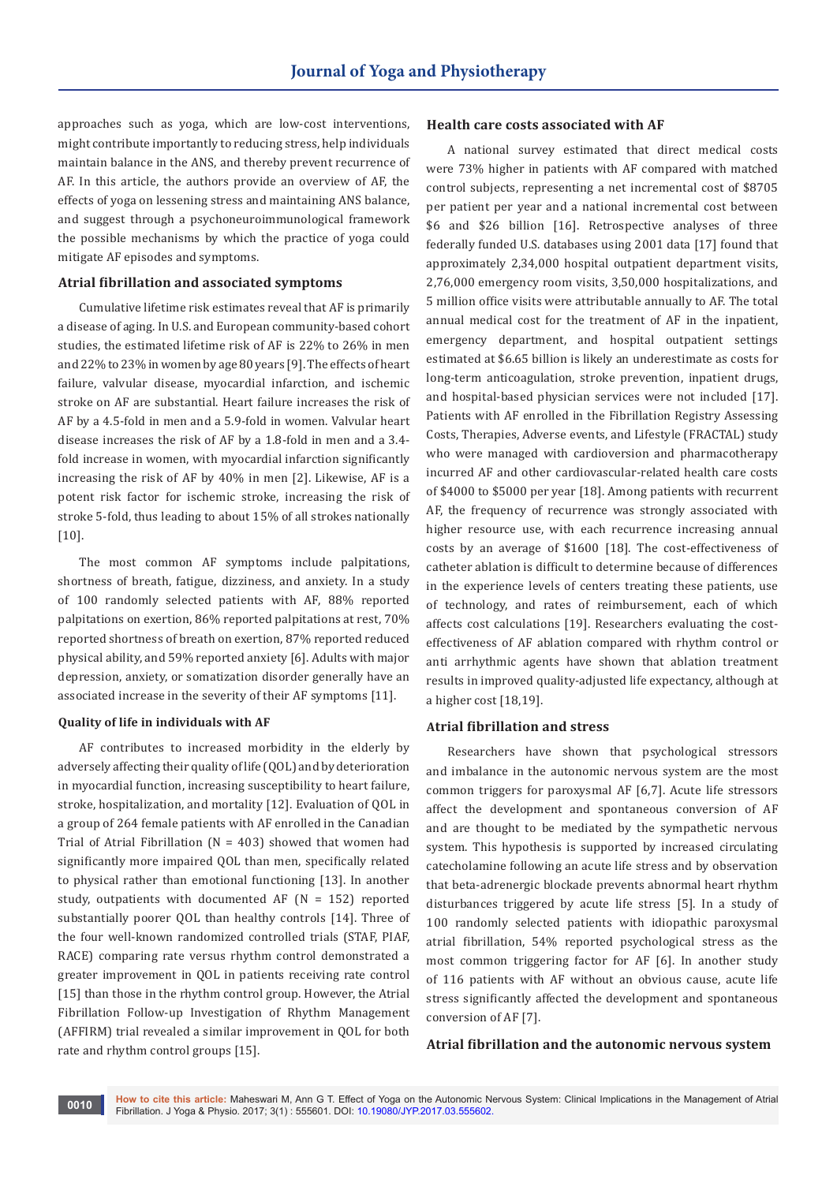approaches such as yoga, which are low-cost interventions, might contribute importantly to reducing stress, help individuals maintain balance in the ANS, and thereby prevent recurrence of AF. In this article, the authors provide an overview of AF, the effects of yoga on lessening stress and maintaining ANS balance, and suggest through a psychoneuroimmunological framework the possible mechanisms by which the practice of yoga could mitigate AF episodes and symptoms.

#### **Atrial fibrillation and associated symptoms**

Cumulative lifetime risk estimates reveal that AF is primarily a disease of aging. In U.S. and European community-based cohort studies, the estimated lifetime risk of AF is 22% to 26% in men and 22% to 23% in women by age 80 years [9]. The effects of heart failure, valvular disease, myocardial infarction, and ischemic stroke on AF are substantial. Heart failure increases the risk of AF by a 4.5-fold in men and a 5.9-fold in women. Valvular heart disease increases the risk of AF by a 1.8-fold in men and a 3.4 fold increase in women, with myocardial infarction significantly increasing the risk of AF by 40% in men [2]. Likewise, AF is a potent risk factor for ischemic stroke, increasing the risk of stroke 5-fold, thus leading to about 15% of all strokes nationally [10].

The most common AF symptoms include palpitations, shortness of breath, fatigue, dizziness, and anxiety. In a study of 100 randomly selected patients with AF, 88% reported palpitations on exertion, 86% reported palpitations at rest, 70% reported shortness of breath on exertion, 87% reported reduced physical ability, and 59% reported anxiety [6]. Adults with major depression, anxiety, or somatization disorder generally have an associated increase in the severity of their AF symptoms [11].

#### **Quality of life in individuals with AF**

AF contributes to increased morbidity in the elderly by adversely affecting their quality of life (QOL) and by deterioration in myocardial function, increasing susceptibility to heart failure, stroke, hospitalization, and mortality [12]. Evaluation of QOL in a group of 264 female patients with AF enrolled in the Canadian Trial of Atrial Fibrillation ( $N = 403$ ) showed that women had significantly more impaired QOL than men, specifically related to physical rather than emotional functioning [13]. In another study, outpatients with documented AF  $(N = 152)$  reported substantially poorer QOL than healthy controls [14]. Three of the four well-known randomized controlled trials (STAF, PIAF, RACE) comparing rate versus rhythm control demonstrated a greater improvement in QOL in patients receiving rate control [15] than those in the rhythm control group. However, the Atrial Fibrillation Follow-up Investigation of Rhythm Management (AFFIRM) trial revealed a similar improvement in QOL for both rate and rhythm control groups [15].

#### **Health care costs associated with AF**

A national survey estimated that direct medical costs were 73% higher in patients with AF compared with matched control subjects, representing a net incremental cost of \$8705 per patient per year and a national incremental cost between \$6 and \$26 billion [16]. Retrospective analyses of three federally funded U.S. databases using 2001 data [17] found that approximately 2,34,000 hospital outpatient department visits, 2,76,000 emergency room visits, 3,50,000 hospitalizations, and 5 million office visits were attributable annually to AF. The total annual medical cost for the treatment of AF in the inpatient, emergency department, and hospital outpatient settings estimated at \$6.65 billion is likely an underestimate as costs for long-term anticoagulation, stroke prevention, inpatient drugs, and hospital-based physician services were not included [17]. Patients with AF enrolled in the Fibrillation Registry Assessing Costs, Therapies, Adverse events, and Lifestyle (FRACTAL) study who were managed with cardioversion and pharmacotherapy incurred AF and other cardiovascular-related health care costs of \$4000 to \$5000 per year [18]. Among patients with recurrent AF, the frequency of recurrence was strongly associated with higher resource use, with each recurrence increasing annual costs by an average of \$1600 [18]. The cost-effectiveness of catheter ablation is difficult to determine because of differences in the experience levels of centers treating these patients, use of technology, and rates of reimbursement, each of which affects cost calculations [19]. Researchers evaluating the costeffectiveness of AF ablation compared with rhythm control or anti arrhythmic agents have shown that ablation treatment results in improved quality-adjusted life expectancy, although at a higher cost [18,19].

#### **Atrial fibrillation and stress**

Researchers have shown that psychological stressors and imbalance in the autonomic nervous system are the most common triggers for paroxysmal AF [6,7]. Acute life stressors affect the development and spontaneous conversion of AF and are thought to be mediated by the sympathetic nervous system. This hypothesis is supported by increased circulating catecholamine following an acute life stress and by observation that beta-adrenergic blockade prevents abnormal heart rhythm disturbances triggered by acute life stress [5]. In a study of 100 randomly selected patients with idiopathic paroxysmal atrial fibrillation, 54% reported psychological stress as the most common triggering factor for AF [6]. In another study of 116 patients with AF without an obvious cause, acute life stress significantly affected the development and spontaneous conversion of AF [7].

#### **Atrial fibrillation and the autonomic nervous system**

**How to cite this article:** Maheswari M, Ann G T. Effect of Yoga on the Autonomic Nervous System: Clinical Implications in the Management of Atrial **FIGRE TOW TO CITE THIS AFTICLE:** MANET MAY, AND GENERAL ON TOGA ON THE AUTOMOBIC IN FIGHTION. J Yoga & Physio. 2017; 3(1) : 555601. DOI: [10.19080/JYP.2017.03.555602](http://dx.doi.org/10.19080/JYP.2017.03.555602)[.](http://dx.doi.org/10.19080/JYP.2017.02.555601)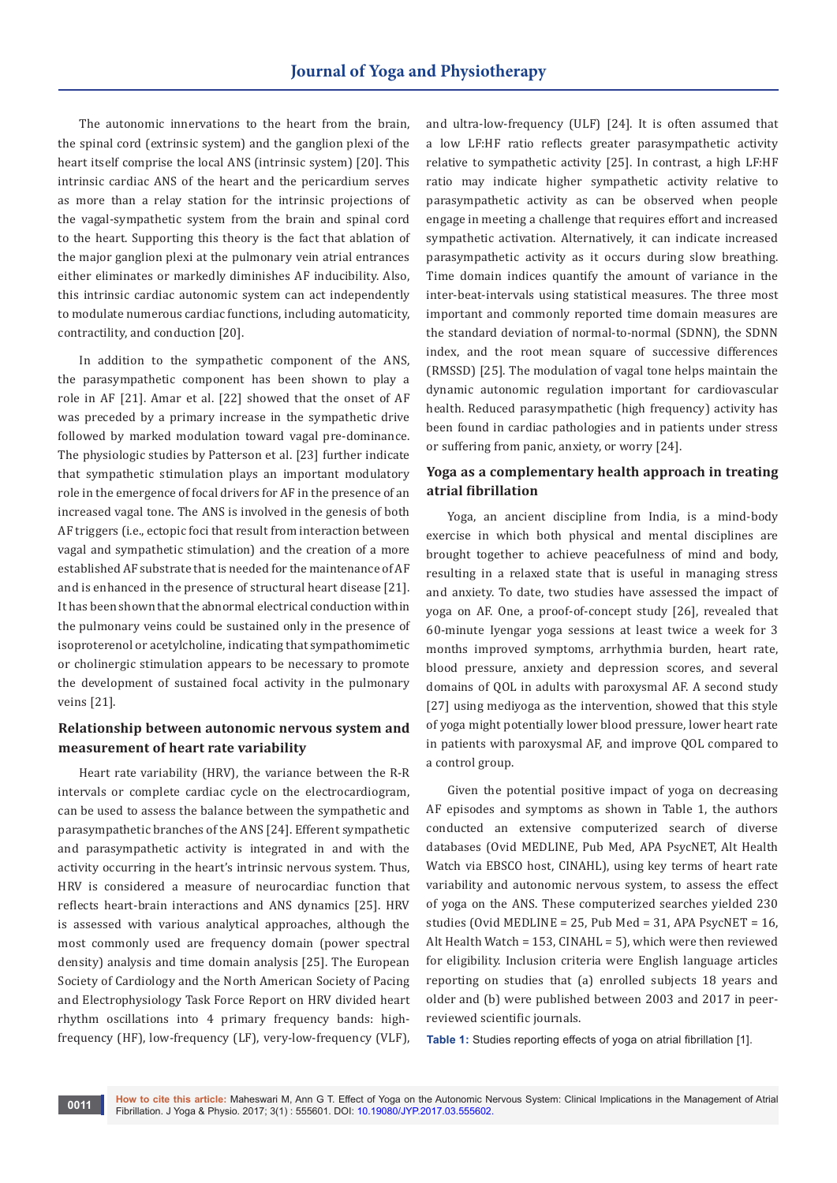The autonomic innervations to the heart from the brain, the spinal cord (extrinsic system) and the ganglion plexi of the heart itself comprise the local ANS (intrinsic system) [20]. This intrinsic cardiac ANS of the heart and the pericardium serves as more than a relay station for the intrinsic projections of the vagal-sympathetic system from the brain and spinal cord to the heart. Supporting this theory is the fact that ablation of the major ganglion plexi at the pulmonary vein atrial entrances either eliminates or markedly diminishes AF inducibility. Also, this intrinsic cardiac autonomic system can act independently to modulate numerous cardiac functions, including automaticity, contractility, and conduction [20].

In addition to the sympathetic component of the ANS, the parasympathetic component has been shown to play a role in AF [21]. Amar et al. [22] showed that the onset of AF was preceded by a primary increase in the sympathetic drive followed by marked modulation toward vagal pre-dominance. The physiologic studies by Patterson et al. [23] further indicate that sympathetic stimulation plays an important modulatory role in the emergence of focal drivers for AF in the presence of an increased vagal tone. The ANS is involved in the genesis of both AF triggers (i.e., ectopic foci that result from interaction between vagal and sympathetic stimulation) and the creation of a more established AF substrate that is needed for the maintenance of AF and is enhanced in the presence of structural heart disease [21]. It has been shown that the abnormal electrical conduction within the pulmonary veins could be sustained only in the presence of isoproterenol or acetylcholine, indicating that sympathomimetic or cholinergic stimulation appears to be necessary to promote the development of sustained focal activity in the pulmonary veins [21].

### **Relationship between autonomic nervous system and measurement of heart rate variability**

Heart rate variability (HRV), the variance between the R-R intervals or complete cardiac cycle on the electrocardiogram, can be used to assess the balance between the sympathetic and parasympathetic branches of the ANS [24]. Efferent sympathetic and parasympathetic activity is integrated in and with the activity occurring in the heart's intrinsic nervous system. Thus, HRV is considered a measure of neurocardiac function that reflects heart-brain interactions and ANS dynamics [25]. HRV is assessed with various analytical approaches, although the most commonly used are frequency domain (power spectral density) analysis and time domain analysis [25]. The European Society of Cardiology and the North American Society of Pacing and Electrophysiology Task Force Report on HRV divided heart rhythm oscillations into 4 primary frequency bands: highfrequency (HF), low-frequency (LF), very-low-frequency (VLF),

and ultra-low-frequency (ULF) [24]. It is often assumed that a low LF:HF ratio reflects greater parasympathetic activity relative to sympathetic activity [25]. In contrast, a high LF:HF ratio may indicate higher sympathetic activity relative to parasympathetic activity as can be observed when people engage in meeting a challenge that requires effort and increased sympathetic activation. Alternatively, it can indicate increased parasympathetic activity as it occurs during slow breathing. Time domain indices quantify the amount of variance in the inter-beat-intervals using statistical measures. The three most important and commonly reported time domain measures are the standard deviation of normal-to-normal (SDNN), the SDNN index, and the root mean square of successive differences (RMSSD) [25]. The modulation of vagal tone helps maintain the dynamic autonomic regulation important for cardiovascular health. Reduced parasympathetic (high frequency) activity has been found in cardiac pathologies and in patients under stress or suffering from panic, anxiety, or worry [24].

### **Yoga as a complementary health approach in treating atrial fibrillation**

Yoga, an ancient discipline from India, is a mind-body exercise in which both physical and mental disciplines are brought together to achieve peacefulness of mind and body, resulting in a relaxed state that is useful in managing stress and anxiety. To date, two studies have assessed the impact of yoga on AF. One, a proof-of-concept study [26], revealed that 60-minute Iyengar yoga sessions at least twice a week for 3 months improved symptoms, arrhythmia burden, heart rate, blood pressure, anxiety and depression scores, and several domains of QOL in adults with paroxysmal AF. A second study [27] using mediyoga as the intervention, showed that this style of yoga might potentially lower blood pressure, lower heart rate in patients with paroxysmal AF, and improve QOL compared to a control group.

Given the potential positive impact of yoga on decreasing AF episodes and symptoms as shown in Table 1, the authors conducted an extensive computerized search of diverse databases (Ovid MEDLINE, Pub Med, APA PsycNET, Alt Health Watch via EBSCO host, CINAHL), using key terms of heart rate variability and autonomic nervous system, to assess the effect of yoga on the ANS. These computerized searches yielded 230 studies (Ovid MEDLINE = 25, Pub Med = 31, APA PsycNET =  $16$ . Alt Health Watch = 153, CINAHL = 5), which were then reviewed for eligibility. Inclusion criteria were English language articles reporting on studies that (a) enrolled subjects 18 years and older and (b) were published between 2003 and 2017 in peerreviewed scientific journals.

**Table 1:** Studies reporting effects of yoga on atrial fibrillation [1].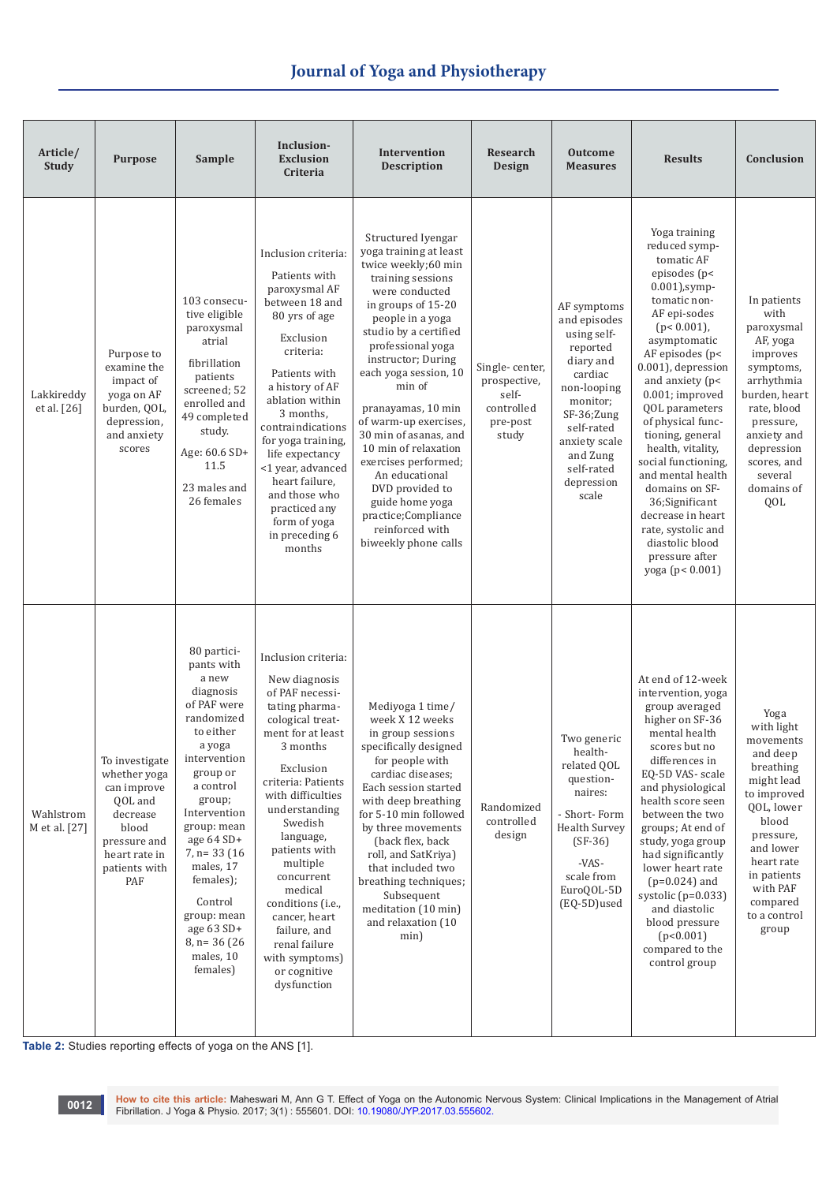| Article/<br>Study           | <b>Purpose</b>                                                                                                                         | Sample                                                                                                                                                                                                                                                                                                                               | Inclusion-<br><b>Exclusion</b><br>Criteria                                                                                                                                                                                                                                                                                                                                                                    | Intervention<br><b>Description</b>                                                                                                                                                                                                                                                                                                                                                                                                                                                                            | Research<br>Design                                                         | <b>Outcome</b><br><b>Measures</b>                                                                                                                                                                       | <b>Results</b>                                                                                                                                                                                                                                                                                                                                                                                                                                                                                        | Conclusion                                                                                                                                                                                                           |
|-----------------------------|----------------------------------------------------------------------------------------------------------------------------------------|--------------------------------------------------------------------------------------------------------------------------------------------------------------------------------------------------------------------------------------------------------------------------------------------------------------------------------------|---------------------------------------------------------------------------------------------------------------------------------------------------------------------------------------------------------------------------------------------------------------------------------------------------------------------------------------------------------------------------------------------------------------|---------------------------------------------------------------------------------------------------------------------------------------------------------------------------------------------------------------------------------------------------------------------------------------------------------------------------------------------------------------------------------------------------------------------------------------------------------------------------------------------------------------|----------------------------------------------------------------------------|---------------------------------------------------------------------------------------------------------------------------------------------------------------------------------------------------------|-------------------------------------------------------------------------------------------------------------------------------------------------------------------------------------------------------------------------------------------------------------------------------------------------------------------------------------------------------------------------------------------------------------------------------------------------------------------------------------------------------|----------------------------------------------------------------------------------------------------------------------------------------------------------------------------------------------------------------------|
| Lakkireddy<br>et al. $[26]$ | Purpose to<br>examine the<br>impact of<br>yoga on AF<br>burden, QOL,<br>depression,<br>and anxiety<br>scores                           | 103 consecu-<br>tive eligible<br>paroxysmal<br>atrial<br>fibrillation<br>patients<br>screened; 52<br>enrolled and<br>49 completed<br>study.<br>Age: 60.6 SD+<br>11.5<br>23 males and<br>26 females                                                                                                                                   | Inclusion criteria:<br>Patients with<br>paroxysmal AF<br>between 18 and<br>80 yrs of age<br>Exclusion<br>criteria:<br>Patients with<br>a history of AF<br>ablation within<br>3 months,<br>contraindications<br>for yoga training,<br>life expectancy<br><1 year, advanced<br>heart failure,<br>and those who<br>practiced any<br>form of yoga<br>in preceding 6<br>months                                     | Structured Iyengar<br>yoga training at least<br>twice weekly;60 min<br>training sessions<br>were conducted<br>in groups of 15-20<br>people in a yoga<br>studio by a certified<br>professional yoga<br>instructor; During<br>each yoga session, 10<br>min of<br>pranayamas, 10 min<br>of warm-up exercises,<br>30 min of asanas, and<br>10 min of relaxation<br>exercises performed;<br>An educational<br>DVD provided to<br>guide home yoga<br>practice;Compliance<br>reinforced with<br>biweekly phone calls | Single-center,<br>prospective,<br>self-<br>controlled<br>pre-post<br>study | AF symptoms<br>and episodes<br>using self-<br>reported<br>diary and<br>cardiac<br>non-looping<br>monitor;<br>SF-36;Zung<br>self-rated<br>anxiety scale<br>and Zung<br>self-rated<br>depression<br>scale | Yoga training<br>reduced symp-<br>tomatic AF<br>episodes (p<<br>$0.001$ ), symp-<br>tomatic non-<br>AF epi-sodes<br>$(p < 0.001)$ ,<br>asymptomatic<br>AF episodes (p<<br>0.001), depression<br>and anxiety (p<<br>0.001; improved<br>QOL parameters<br>of physical func-<br>tioning, general<br>health, vitality,<br>social functioning.<br>and mental health<br>domains on SF-<br>36;Significant<br>decrease in heart<br>rate, systolic and<br>diastolic blood<br>pressure after<br>yoga (p< 0.001) | In patients<br>with<br>paroxysmal<br>AF, yoga<br>improves<br>symptoms,<br>arrhythmia<br>burden, heart<br>rate, blood<br>pressure,<br>anxiety and<br>depression<br>scores, and<br>several<br>domains of<br>QOL        |
| Wahlstrom<br>M et al. [27]  | To investigate<br>whether yoga<br>can improve<br>QOL and<br>decrease<br>blood<br>pressure and<br>heart rate in<br>patients with<br>PAF | 80 partici-<br>pants with<br>a new<br>diagnosis<br>of PAF were<br>randomized<br>to either<br>a yoga<br>intervention<br>group or<br>a control<br>group;<br>Intervention<br>group: mean<br>age 64 SD+<br>$7, n=33$ (16)<br>males, 17<br>females);<br>Control<br>group: mean<br>age 63 SD+<br>$8$ , n= 36 (26)<br>males, 10<br>females) | Inclusion criteria:<br>New diagnosis<br>of PAF necessi-<br>tating pharma-<br>cological treat-<br>ment for at least<br>3 months<br>Exclusion<br>criteria: Patients<br>with difficulties<br>understanding<br>Swedish<br>language,<br>patients with<br>multiple<br>concurrent<br>medical<br>conditions (i.e.,<br>cancer, heart<br>failure, and<br>renal failure<br>with symptoms)<br>or cognitive<br>dysfunction | Mediyoga 1 time/<br>week X 12 weeks<br>in group sessions<br>specifically designed<br>for people with<br>cardiac diseases;<br>Each session started<br>with deep breathing<br>for 5-10 min followed<br>by three movements<br>(back flex, back)<br>roll, and SatKriva)<br>that included two<br>breathing techniques;<br>Subsequent<br>meditation (10 min)<br>and relaxation (10<br>min)                                                                                                                          | Randomized<br>controlled<br>design                                         | Two generic<br>health-<br>related QOL<br>question-<br>naires:<br>- Short-Form<br>Health Survey<br>$(SF-36)$<br>-VAS-<br>scale from<br>EuroQOL-5D<br>(EQ-5D)used                                         | At end of 12-week<br>intervention, yoga<br>group averaged<br>higher on SF-36<br>mental health<br>scores but no<br>differences in<br>EQ-5D VAS- scale<br>and physiological<br>health score seen<br>between the two<br>groups; At end of<br>study, yoga group<br>had significantly<br>lower heart rate<br>$(p=0.024)$ and<br>systolic $(p=0.033)$<br>and diastolic<br>blood pressure<br>(p<0.001)<br>compared to the<br>control group                                                                   | Yoga<br>with light<br>movements<br>and deep<br>breathing<br>might lead<br>to improved<br>QOL, lower<br>blood<br>pressure,<br>and lower<br>heart rate<br>in patients<br>with PAF<br>compared<br>to a control<br>group |

**Table 2:** Studies reporting effects of yoga on the ANS [1].

oo12 How to cite this article: Maheswari M, Ann G T[.](http://dx.doi.org/10.19080/JYP.2017.02.555601) Effect of Yoga on the Autonomic Nervous System: Clinical Implications in the Management of Atrial<br>Fibrillation. J Yoga & Physio. 2017; 3(1) : 555601. DOI: 10.19080/JYP.2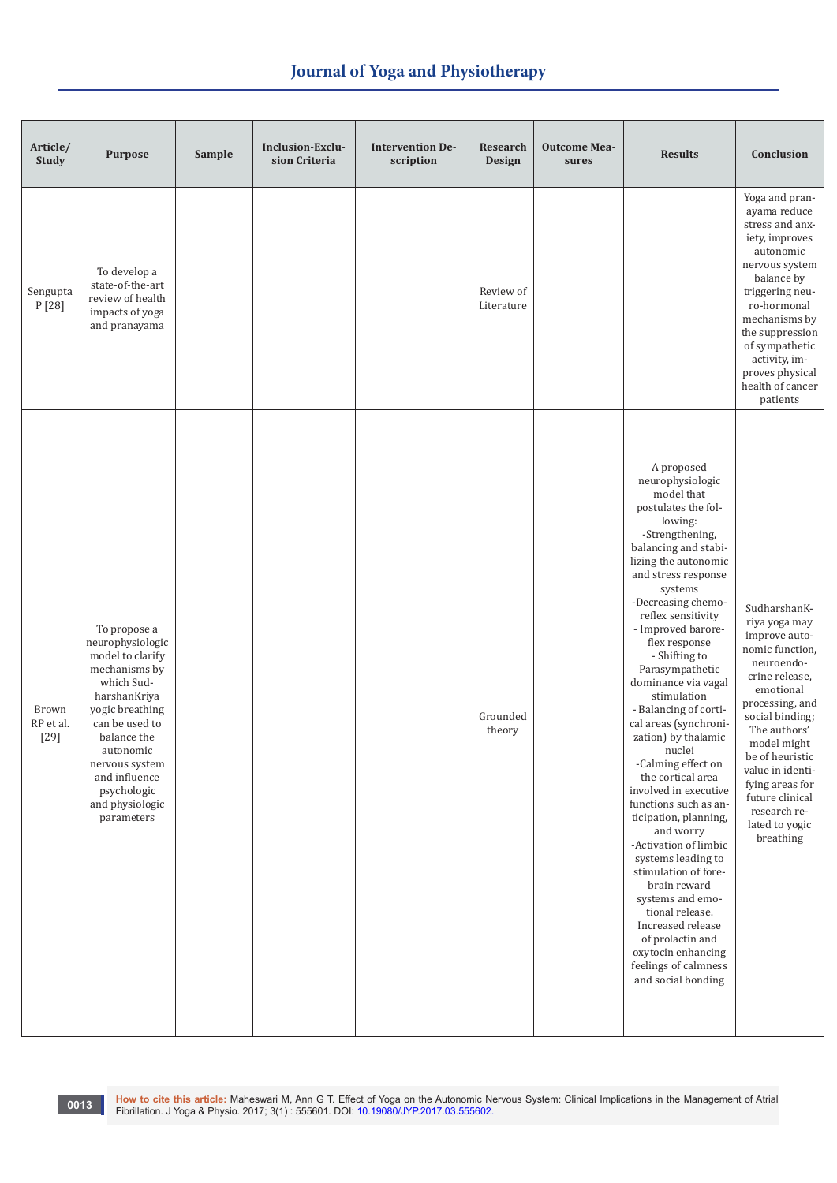| Article/<br><b>Study</b>     | <b>Purpose</b>                                                                                                                                                                                                                                          | Sample | Inclusion-Exclu-<br>sion Criteria | <b>Intervention De-</b><br>scription | <b>Research</b><br><b>Design</b> | <b>Outcome Mea-</b><br>sures | <b>Results</b>                                                                                                                                                                                                                                                                                                                                                                                                                                                                                                                                                                                                                                                                                                                                                                                                    | Conclusion                                                                                                                                                                                                                                                                                                      |
|------------------------------|---------------------------------------------------------------------------------------------------------------------------------------------------------------------------------------------------------------------------------------------------------|--------|-----------------------------------|--------------------------------------|----------------------------------|------------------------------|-------------------------------------------------------------------------------------------------------------------------------------------------------------------------------------------------------------------------------------------------------------------------------------------------------------------------------------------------------------------------------------------------------------------------------------------------------------------------------------------------------------------------------------------------------------------------------------------------------------------------------------------------------------------------------------------------------------------------------------------------------------------------------------------------------------------|-----------------------------------------------------------------------------------------------------------------------------------------------------------------------------------------------------------------------------------------------------------------------------------------------------------------|
| Sengupta<br>P [28]           | To develop a<br>state-of-the-art<br>review of health<br>impacts of yoga<br>and pranayama                                                                                                                                                                |        |                                   |                                      | Review of<br>Literature          |                              |                                                                                                                                                                                                                                                                                                                                                                                                                                                                                                                                                                                                                                                                                                                                                                                                                   | Yoga and pran-<br>ayama reduce<br>stress and anx-<br>iety, improves<br>autonomic<br>nervous system<br>balance by<br>triggering neu-<br>ro-hormonal<br>mechanisms by<br>the suppression<br>of sympathetic<br>activity, im-<br>proves physical<br>health of cancer<br>patients                                    |
| Brown<br>RP et al.<br>$[29]$ | To propose a<br>neurophysiologic<br>model to clarify<br>mechanisms by<br>which Sud-<br>harshanKriya<br>yogic breathing<br>can be used to<br>balance the<br>autonomic<br>nervous system<br>and influence<br>psychologic<br>and physiologic<br>parameters |        |                                   |                                      | Grounded<br>theory               |                              | A proposed<br>neurophysiologic<br>model that<br>postulates the fol-<br>lowing:<br>-Strengthening,<br>balancing and stabi-<br>lizing the autonomic<br>and stress response<br>systems<br>-Decreasing chemo-<br>reflex sensitivity<br>- Improved barore-<br>flex response<br>- Shifting to<br>Parasympathetic<br>dominance via vagal<br>stimulation<br>- Balancing of corti-<br>cal areas (synchroni-<br>zation) by thalamic<br>nuclei<br>-Calming effect on<br>the cortical area<br>involved in executive<br>functions such as an-<br>ticipation, planning,<br>and worry<br>-Activation of limbic<br>systems leading to<br>stimulation of fore-<br>brain reward<br>systems and emo-<br>tional release.<br>Increased release<br>of prolactin and<br>oxytocin enhancing<br>feelings of calmness<br>and social bonding | SudharshanK-<br>riya yoga may<br>improve auto-<br>nomic function,<br>neuroendo-<br>crine release,<br>emotional<br>processing, and<br>social binding;<br>The authors'<br>model might<br>be of heuristic<br>value in identi-<br>fying areas for<br>future clinical<br>research re-<br>lated to yogic<br>breathing |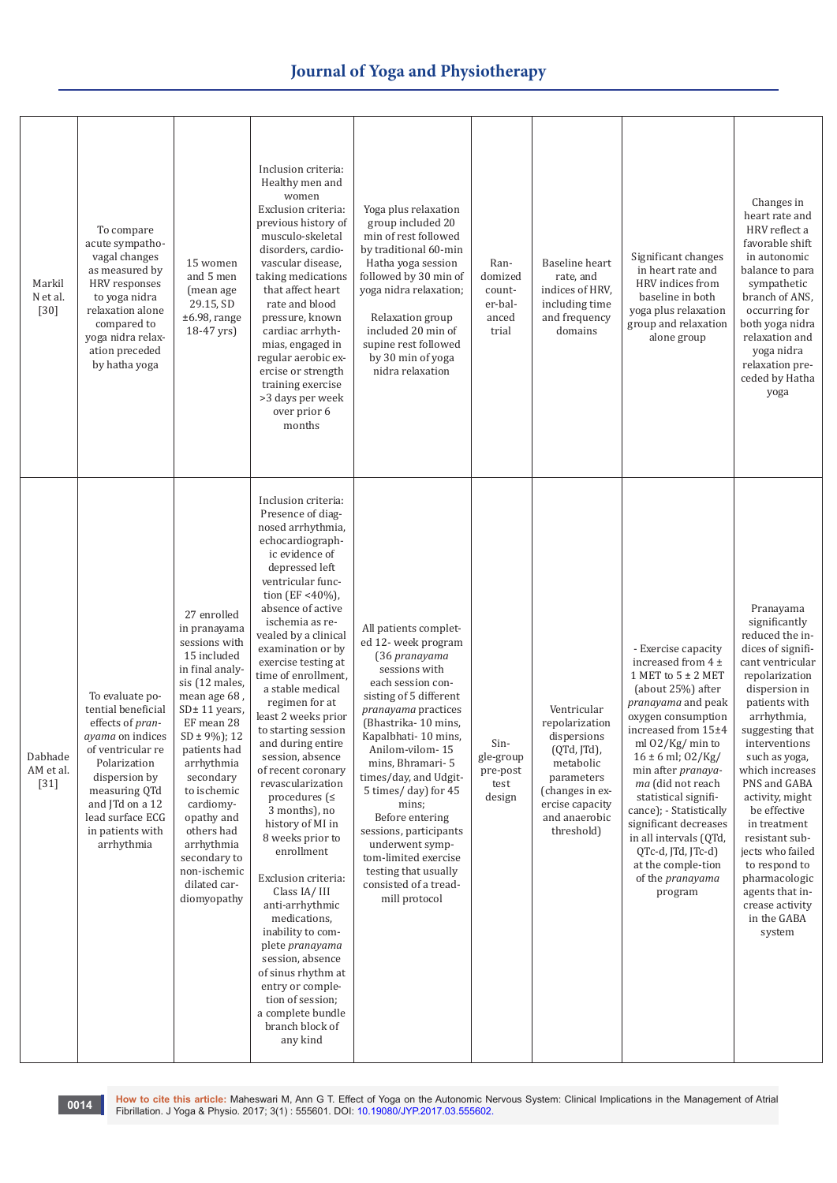| Markil<br>N et al.<br>$[30]$   | To compare<br>acute sympatho-<br>vagal changes<br>as measured by<br>HRV responses<br>to yoga nidra<br>relaxation alone<br>compared to<br>yoga nidra relax-<br>ation preceded<br>by hatha yoga                                        | 15 women<br>and 5 men<br>(mean age<br>29.15, SD<br>$±6.98$ , range<br>18-47 yrs)                                                                                                                                                                                                                                                                        | Inclusion criteria:<br>Healthy men and<br>women<br>Exclusion criteria:<br>previous history of<br>musculo-skeletal<br>disorders, cardio-<br>vascular disease,<br>taking medications<br>that affect heart<br>rate and blood<br>pressure, known<br>cardiac arrhyth-<br>mias, engaged in<br>regular aerobic ex-<br>ercise or strength<br>training exercise<br>>3 days per week<br>over prior 6<br>months                                                                                                                                                                                                                                                                                                                                                                                                                           | Yoga plus relaxation<br>group included 20<br>min of rest followed<br>by traditional 60-min<br>Hatha yoga session<br>followed by 30 min of<br>yoga nidra relaxation;<br>Relaxation group<br>included 20 min of<br>supine rest followed<br>by 30 min of yoga<br>nidra relaxation                                                                                                                                                                               | Ran-<br>domized<br>count-<br>er-bal-<br>anced<br>trial | Baseline heart<br>rate, and<br>indices of HRV,<br>including time<br>and frequency<br>domains                                                                | Significant changes<br>in heart rate and<br>HRV indices from<br>baseline in both<br>yoga plus relaxation<br>group and relaxation<br>alone group                                                                                                                                                                                                                                                                                           | Changes in<br>heart rate and<br>HRV reflect a<br>favorable shift<br>in autonomic<br>balance to para<br>sympathetic<br>branch of ANS,<br>occurring for<br>both yoga nidra<br>relaxation and<br>yoga nidra<br>relaxation pre-<br>ceded by Hatha<br>yoga                                                                                                                                                                                       |
|--------------------------------|--------------------------------------------------------------------------------------------------------------------------------------------------------------------------------------------------------------------------------------|---------------------------------------------------------------------------------------------------------------------------------------------------------------------------------------------------------------------------------------------------------------------------------------------------------------------------------------------------------|--------------------------------------------------------------------------------------------------------------------------------------------------------------------------------------------------------------------------------------------------------------------------------------------------------------------------------------------------------------------------------------------------------------------------------------------------------------------------------------------------------------------------------------------------------------------------------------------------------------------------------------------------------------------------------------------------------------------------------------------------------------------------------------------------------------------------------|--------------------------------------------------------------------------------------------------------------------------------------------------------------------------------------------------------------------------------------------------------------------------------------------------------------------------------------------------------------------------------------------------------------------------------------------------------------|--------------------------------------------------------|-------------------------------------------------------------------------------------------------------------------------------------------------------------|-------------------------------------------------------------------------------------------------------------------------------------------------------------------------------------------------------------------------------------------------------------------------------------------------------------------------------------------------------------------------------------------------------------------------------------------|---------------------------------------------------------------------------------------------------------------------------------------------------------------------------------------------------------------------------------------------------------------------------------------------------------------------------------------------------------------------------------------------------------------------------------------------|
| Dabhade<br>AM et al.<br>$[31]$ | To evaluate po-<br>tential beneficial<br>effects of pran-<br><i>ayama</i> on indices<br>of ventricular re<br>Polarization<br>dispersion by<br>measuring QTd<br>and JTd on a 12<br>lead surface ECG<br>in patients with<br>arrhythmia | 27 enrolled<br>in pranayama<br>sessions with<br>15 included<br>in final analy-<br>sis (12 males,<br>mean age 68,<br>$SD± 11$ years,<br>EF mean 28<br>$SD \pm 9\%$ ); 12<br>patients had<br>arrhythmia<br>secondary<br>to ischemic<br>cardiomy-<br>opathy and<br>others had<br>arrhythmia<br>secondary to<br>non-ischemic<br>dilated car-<br>diomyopathy | Inclusion criteria:<br>Presence of diag-<br>nosed arrhythmia,<br>echocardiograph-<br>ic evidence of<br>depressed left<br>ventricular func-<br>tion (EF <40%),<br>absence of active<br>ischemia as re-<br>vealed by a clinical<br>examination or by<br>exercise testing at<br>time of enrollment,<br>a stable medical<br>regimen for at<br>least 2 weeks prior<br>to starting session<br>and during entire<br>session, absence<br>of recent coronary<br>revascularization<br>procedures ( $\leq$<br>3 months), no<br>history of MI in<br>8 weeks prior to<br>enrollment<br>Exclusion criteria:<br>Class IA/III<br>anti-arrhythmic<br>medications,<br>inability to com-<br>plete pranayama<br>session, absence<br>of sinus rhythm at<br>entry or comple-<br>tion of session;<br>a complete bundle<br>branch block of<br>any kind | All patients complet-<br>ed 12- week program<br>(36 pranayama<br>sessions with<br>each session con-<br>sisting of 5 different<br>pranayama practices<br>(Bhastrika-10 mins,<br>Kapalbhati-10 mins,<br>Anilom-vilom-15<br>mins, Bhramari-5<br>times/day, and Udgit-<br>5 times/day) for 45<br>mins;<br>Before entering<br>sessions, participants<br>underwent symp-<br>tom-limited exercise<br>testing that usually<br>consisted of a tread-<br>mill protocol | Sin-<br>gle-group<br>pre-post<br>test<br>design        | Ventricular<br>repolarization<br>dispersions<br>(QTd, JTd),<br>metabolic<br>parameters<br>(changes in ex-<br>ercise capacity<br>and anaerobic<br>threshold) | - Exercise capacity<br>increased from $4 \pm$<br>1 MET to $5 \pm 2$ MET<br>(about 25%) after<br>pranayama and peak<br>oxygen consumption<br>increased from 15±4<br>ml 02/Kg/min to<br>$16 \pm 6$ ml; $02/Kg/$<br>min after pranaya-<br>ma (did not reach<br>statistical signifi-<br>cance); - Statistically<br>significant decreases<br>in all intervals (QTd,<br>QTc-d, JTd, JTc-d)<br>at the comple-tion<br>of the pranayama<br>program | Pranayama<br>significantly<br>reduced the in-<br>dices of signifi-<br>cant ventricular<br>repolarization<br>dispersion in<br>patients with<br>arrhythmia,<br>suggesting that<br>interventions<br>such as yoga,<br>which increases<br>PNS and GABA<br>activity, might<br>be effective<br>in treatment<br>resistant sub-<br>jects who failed<br>to respond to<br>pharmacologic<br>agents that in-<br>crease activity<br>in the GABA<br>system |

oote How to cite this article: Maheswari M, Ann G T[.](http://dx.doi.org/10.19080/JYP.2017.02.555601) Effect of Yoga on the Autonomic Nervous System: Clinical Implications in the Management of Atrial (1955) Fibrillation. J Yoga & Physio. 2017; 3(1) : 555601. DOI: 10.1908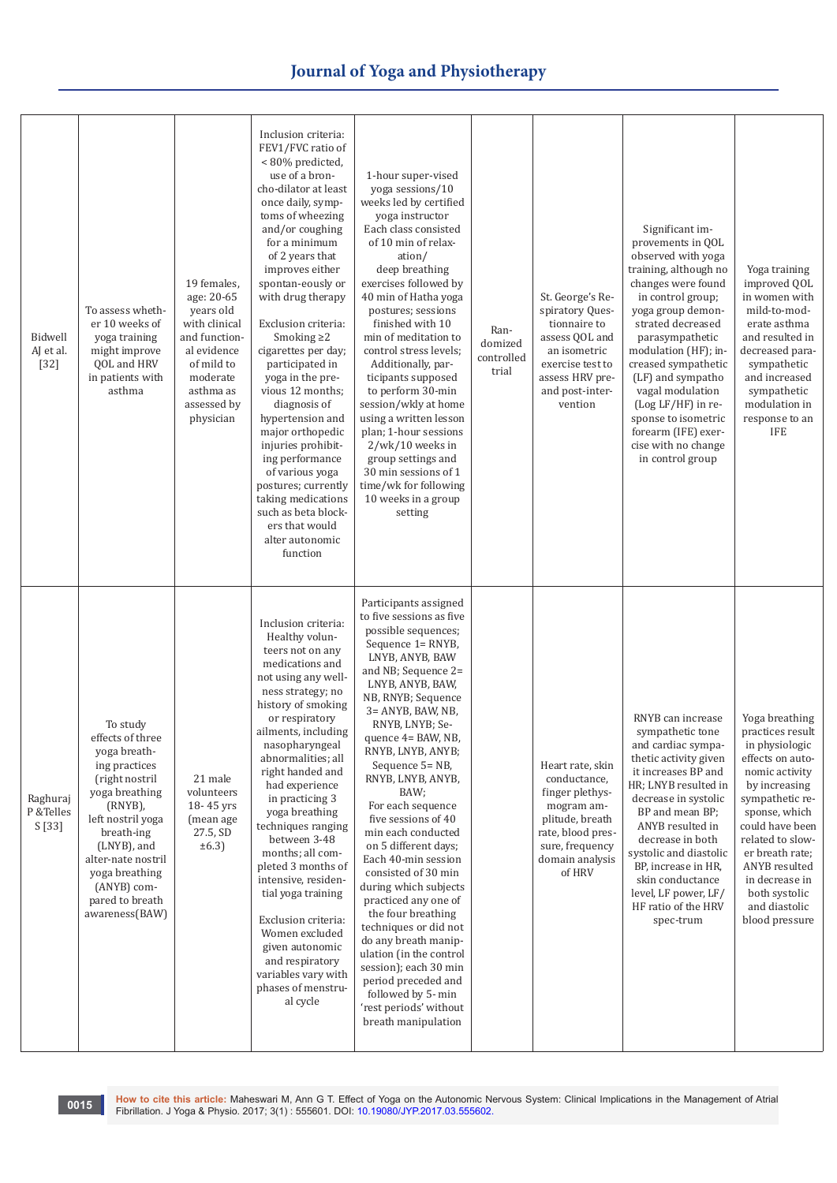| Bidwell<br>AJ et al.<br>$[32]$   | To assess wheth-<br>er 10 weeks of<br>yoga training<br>might improve<br>QOL and HRV<br>in patients with<br>asthma                                                                                                                                             | 19 females.<br>age: 20-65<br>years old<br>with clinical<br>and function-<br>al evidence<br>of mild to<br>moderate<br>asthma as<br>assessed by<br>physician | Inclusion criteria:<br>FEV1/FVC ratio of<br><80% predicted,<br>use of a bron-<br>cho-dilator at least<br>once daily, symp-<br>toms of wheezing<br>and/or coughing<br>for a minimum<br>of 2 years that<br>improves either<br>spontan-eously or<br>with drug therapy<br>Exclusion criteria:<br>Smoking $\geq$ 2<br>cigarettes per day;<br>participated in<br>yoga in the pre-<br>vious 12 months;<br>diagnosis of<br>hypertension and<br>major orthopedic<br>injuries prohibit-<br>ing performance<br>of various yoga<br>postures; currently<br>taking medications<br>such as beta block-<br>ers that would<br>alter autonomic<br>function | 1-hour super-vised<br>yoga sessions/10<br>weeks led by certified<br>yoga instructor<br>Each class consisted<br>of 10 min of relax-<br>ation/<br>deep breathing<br>exercises followed by<br>40 min of Hatha yoga<br>postures; sessions<br>finished with 10<br>min of meditation to<br>control stress levels;<br>Additionally, par-<br>ticipants supposed<br>to perform 30-min<br>session/wkly at home<br>using a written lesson<br>plan; 1-hour sessions<br>$2/wk/10$ weeks in<br>group settings and<br>30 min sessions of 1<br>time/wk for following<br>10 weeks in a group<br>setting                                                                                                                                                | Ran-<br>domized<br>controlled<br>trial | St. George's Re-<br>spiratory Ques-<br>tionnaire to<br>assess QOL and<br>an isometric<br>exercise test to<br>assess HRV pre-<br>and post-inter-<br>vention | Significant im-<br>provements in QOL<br>observed with yoga<br>training, although no<br>changes were found<br>in control group;<br>yoga group demon-<br>strated decreased<br>parasympathetic<br>modulation (HF); in-<br>creased sympathetic<br>(LF) and sympatho<br>vagal modulation<br>(Log LF/HF) in re-<br>sponse to isometric<br>forearm (IFE) exer-<br>cise with no change<br>in control group | Yoga training<br>improved QOL<br>in women with<br>mild-to-mod-<br>erate asthma<br>and resulted in<br>decreased para-<br>sympathetic<br>and increased<br>sympathetic<br>modulation in<br>response to an<br>IFE                                                                                    |
|----------------------------------|---------------------------------------------------------------------------------------------------------------------------------------------------------------------------------------------------------------------------------------------------------------|------------------------------------------------------------------------------------------------------------------------------------------------------------|------------------------------------------------------------------------------------------------------------------------------------------------------------------------------------------------------------------------------------------------------------------------------------------------------------------------------------------------------------------------------------------------------------------------------------------------------------------------------------------------------------------------------------------------------------------------------------------------------------------------------------------|---------------------------------------------------------------------------------------------------------------------------------------------------------------------------------------------------------------------------------------------------------------------------------------------------------------------------------------------------------------------------------------------------------------------------------------------------------------------------------------------------------------------------------------------------------------------------------------------------------------------------------------------------------------------------------------------------------------------------------------|----------------------------------------|------------------------------------------------------------------------------------------------------------------------------------------------------------|----------------------------------------------------------------------------------------------------------------------------------------------------------------------------------------------------------------------------------------------------------------------------------------------------------------------------------------------------------------------------------------------------|--------------------------------------------------------------------------------------------------------------------------------------------------------------------------------------------------------------------------------------------------------------------------------------------------|
| Raghuraj<br>P & Telles<br>S [33] | To study<br>effects of three<br>yoga breath-<br>ing practices<br>(right nostril<br>yoga breathing<br>$(RNYB)$ ,<br>left nostril yoga<br>breath-ing<br>(LNYB), and<br>alter-nate nostril<br>yoga breathing<br>(ANYB) com-<br>pared to breath<br>awareness(BAW) | 21 male<br>volunteers<br>18-45 yrs<br>(mean age<br>27.5, SD<br>$\pm 6.3$                                                                                   | Inclusion criteria:<br>Healthy volun-<br>teers not on any<br>medications and<br>not using any well-<br>ness strategy; no<br>history of smoking<br>or respiratory<br>ailments, including<br>nasopharyngeal<br>abnormalities; all<br>right handed and<br>had experience<br>in practicing 3<br>yoga breathing<br>techniques ranging<br>between 3-48<br>months; all com-<br>pleted 3 months of<br>intensive, residen-<br>tial yoga training<br>Exclusion criteria:<br>Women excluded<br>given autonomic<br>and respiratory<br>variables vary with<br>phases of menstru-<br>al cycle                                                          | Participants assigned<br>to five sessions as five<br>possible sequences;<br>Sequence 1= RNYB,<br>LNYB, ANYB, BAW<br>and NB; Sequence 2=<br>LNYB, ANYB, BAW,<br>NB, RNYB; Sequence<br>3= ANYB, BAW, NB,<br>RNYB, LNYB; Se-<br>quence 4= BAW, NB,<br>RNYB, LNYB, ANYB;<br>Sequence 5= NB,<br>RNYB, LNYB, ANYB,<br>BAW;<br>For each sequence<br>five sessions of 40<br>min each conducted<br>on 5 different days;<br>Each 40-min session<br>consisted of 30 min<br>during which subjects<br>practiced any one of<br>the four breathing<br>techniques or did not<br>do any breath manip-<br>ulation (in the control<br>session); each 30 min<br>period preceded and<br>followed by 5-min<br>'rest periods' without<br>breath manipulation |                                        | Heart rate, skin<br>conductance,<br>finger plethys-<br>mogram am-<br>plitude, breath<br>rate, blood pres-<br>sure, frequency<br>domain analysis<br>of HRV  | RNYB can increase<br>sympathetic tone<br>and cardiac sympa-<br>thetic activity given<br>it increases BP and<br>HR; LNYB resulted in<br>decrease in systolic<br>BP and mean BP;<br>ANYB resulted in<br>decrease in both<br>systolic and diastolic<br>BP, increase in HR,<br>skin conductance<br>level, LF power, LF/<br>HF ratio of the HRV<br>spec-trum                                            | Yoga breathing<br>practices result<br>in physiologic<br>effects on auto-<br>nomic activity<br>by increasing<br>sympathetic re-<br>sponse, which<br>could have been<br>related to slow-<br>er breath rate;<br>ANYB resulted<br>in decrease in<br>both systolic<br>and diastolic<br>blood pressure |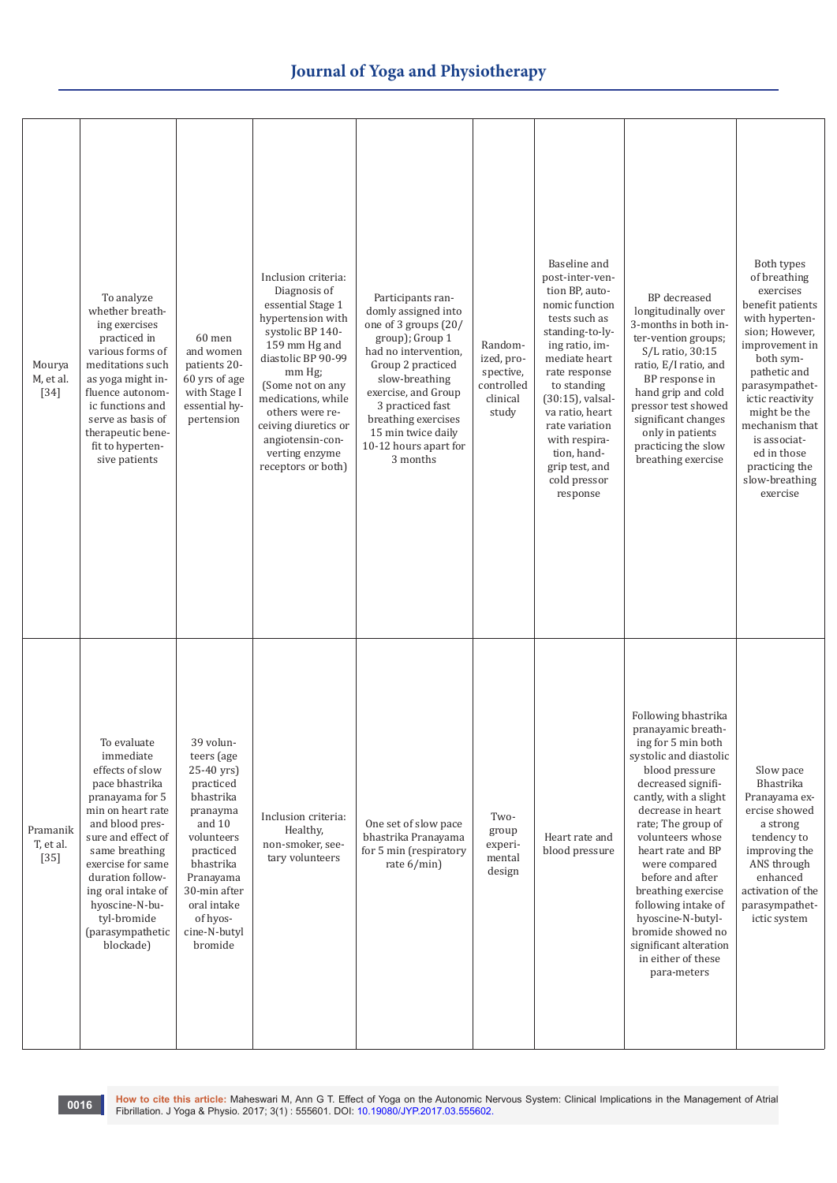| Mourya<br>M, et al.<br>$[34]$   | To analyze<br>whether breath-<br>ing exercises<br>practiced in<br>various forms of<br>meditations such<br>as yoga might in-<br>fluence autonom-<br>ic functions and<br>serve as basis of<br>therapeutic bene-<br>fit to hyperten-<br>sive patients                                                | 60 men<br>and women<br>patients 20-<br>60 yrs of age<br>with Stage I<br>essential hy-<br>pertension                                                                                                              | Inclusion criteria:<br>Diagnosis of<br>essential Stage 1<br>hypertension with<br>systolic BP 140-<br>159 mm Hg and<br>diastolic BP 90-99<br>mm Hg;<br>(Some not on any<br>medications, while<br>others were re-<br>ceiving diuretics or<br>angiotensin-con-<br>verting enzyme<br>receptors or both) | Participants ran-<br>domly assigned into<br>one of 3 groups (20/<br>group); Group 1<br>had no intervention,<br>Group 2 practiced<br>slow-breathing<br>exercise, and Group<br>3 practiced fast<br>breathing exercises<br>15 min twice daily<br>10-12 hours apart for<br>3 months | Random-<br>ized, pro-<br>spective,<br>controlled<br>clinical<br>study | Baseline and<br>post-inter-ven-<br>tion BP, auto-<br>nomic function<br>tests such as<br>standing-to-ly-<br>ing ratio, im-<br>mediate heart<br>rate response<br>to standing<br>(30:15), valsal-<br>va ratio, heart<br>rate variation<br>with respira-<br>tion, hand-<br>grip test, and<br>cold pressor<br>response | <b>BP</b> decreased<br>longitudinally over<br>3-months in both in-<br>ter-vention groups;<br>S/L ratio, 30:15<br>ratio, E/I ratio, and<br>BP response in<br>hand grip and cold<br>pressor test showed<br>significant changes<br>only in patients<br>practicing the slow<br>breathing exercise                                                                                                                                             | Both types<br>of breathing<br>exercises<br>benefit patients<br>with hyperten-<br>sion; However,<br>improvement in<br>both sym-<br>pathetic and<br>parasympathet-<br>ictic reactivity<br>might be the<br>mechanism that<br>is associat-<br>ed in those<br>practicing the<br>slow-breathing<br>exercise |
|---------------------------------|---------------------------------------------------------------------------------------------------------------------------------------------------------------------------------------------------------------------------------------------------------------------------------------------------|------------------------------------------------------------------------------------------------------------------------------------------------------------------------------------------------------------------|-----------------------------------------------------------------------------------------------------------------------------------------------------------------------------------------------------------------------------------------------------------------------------------------------------|---------------------------------------------------------------------------------------------------------------------------------------------------------------------------------------------------------------------------------------------------------------------------------|-----------------------------------------------------------------------|-------------------------------------------------------------------------------------------------------------------------------------------------------------------------------------------------------------------------------------------------------------------------------------------------------------------|-------------------------------------------------------------------------------------------------------------------------------------------------------------------------------------------------------------------------------------------------------------------------------------------------------------------------------------------------------------------------------------------------------------------------------------------|-------------------------------------------------------------------------------------------------------------------------------------------------------------------------------------------------------------------------------------------------------------------------------------------------------|
| Pramanik<br>T, et al.<br>$[35]$ | To evaluate<br>immediate<br>effects of slow<br>pace bhastrika<br>pranayama for 5<br>min on heart rate<br>and blood pres-<br>sure and effect of<br>same breathing<br>exercise for same<br>duration follow-<br>ing oral intake of<br>hyoscine-N-bu-<br>tyl-bromide<br>(parasympathetic<br>blockade) | 39 volun-<br>teers (age<br>25-40 yrs)<br>practiced<br>bhastrika<br>pranayma<br>and 10<br>volunteers<br>practiced<br>bhastrika<br>Pranayama<br>30-min after<br>oral intake<br>of hyos-<br>cine-N-butyl<br>bromide | Inclusion criteria:<br>Healthy,<br>non-smoker, see-<br>tary volunteers                                                                                                                                                                                                                              | One set of slow pace<br>bhastrika Pranayama<br>for 5 min (respiratory<br>rate 6/min)                                                                                                                                                                                            | Two-<br>group<br>experi-<br>mental<br>design                          | Heart rate and<br>blood pressure                                                                                                                                                                                                                                                                                  | Following bhastrika<br>pranayamic breath-<br>ing for 5 min both<br>systolic and diastolic<br>blood pressure<br>decreased signifi-<br>cantly, with a slight<br>decrease in heart<br>rate; The group of<br>volunteers whose<br>heart rate and BP<br>were compared<br>before and after<br>breathing exercise<br>following intake of<br>hyoscine-N-butyl-<br>bromide showed no<br>significant alteration<br>in either of these<br>para-meters | Slow pace<br>Bhastrika<br>Pranayama ex-<br>ercise showed<br>a strong<br>tendency to<br>improving the<br>ANS through<br>enhanced<br>activation of the<br>parasympathet-<br>ictic system                                                                                                                |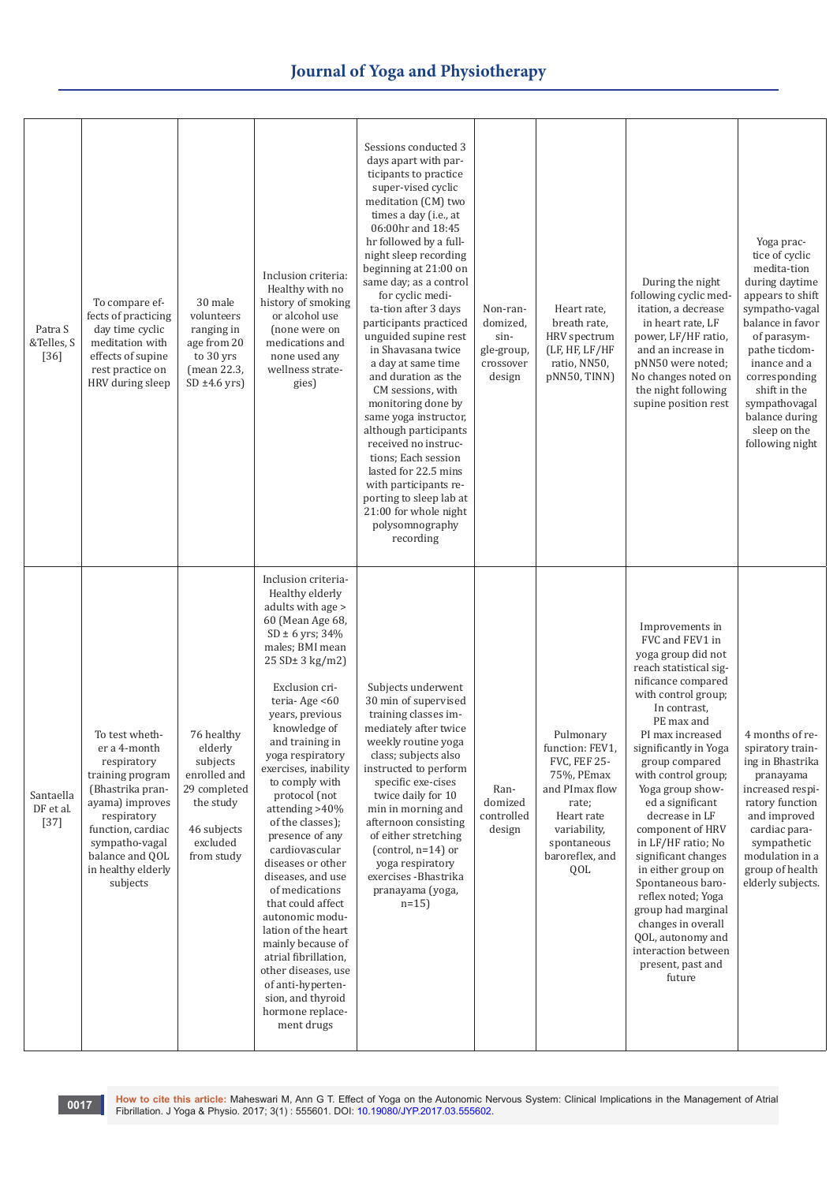| Patra S<br>&Telles, S<br>$[36]$  | To compare ef-<br>fects of practicing<br>day time cyclic<br>meditation with<br>effects of supine<br>rest practice on<br>HRV during sleep                                                                            | 30 male<br>volunteers<br>ranging in<br>age from 20<br>to 30 yrs<br>(mean 22.3,<br>$SD \pm 4.6$ yrs)                     | Inclusion criteria:<br>Healthy with no<br>history of smoking<br>or alcohol use<br>(none were on<br>medications and<br>none used any<br>wellness strate-<br>gies)                                                                                                                                                                                                                                                                                                                                                                                                                                                                                                          | Sessions conducted 3<br>days apart with par-<br>ticipants to practice<br>super-vised cyclic<br>meditation (CM) two<br>times a day (i.e., at<br>06:00hr and 18:45<br>hr followed by a full-<br>night sleep recording<br>beginning at 21:00 on<br>same day; as a control<br>for cyclic medi-<br>ta-tion after 3 days<br>participants practiced<br>unguided supine rest<br>in Shavasana twice<br>a day at same time<br>and duration as the<br>CM sessions, with<br>monitoring done by<br>same yoga instructor,<br>although participants<br>received no instruc-<br>tions: Each session<br>lasted for 22.5 mins<br>with participants re-<br>porting to sleep lab at<br>21:00 for whole night<br>polysomnography<br>recording | Non-ran-<br>domized,<br>sin-<br>gle-group,<br>crossover<br>design | Heart rate,<br>breath rate,<br>HRV spectrum<br>(LF, HF, LF/HF<br>ratio, NN50,<br>pNN50, TINN)                                                                       | During the night<br>following cyclic med-<br>itation, a decrease<br>in heart rate, LF<br>power, LF/HF ratio,<br>and an increase in<br>pNN50 were noted;<br>No changes noted on<br>the night following<br>supine position rest                                                                                                                                                                                                                                                                                                                                          | Yoga prac-<br>tice of cyclic<br>medita-tion<br>during daytime<br>appears to shift<br>sympatho-vagal<br>balance in favor<br>of parasym-<br>pathe ticdom-<br>inance and a<br>corresponding<br>shift in the<br>sympathovagal<br>balance during<br>sleep on the<br>following night |
|----------------------------------|---------------------------------------------------------------------------------------------------------------------------------------------------------------------------------------------------------------------|-------------------------------------------------------------------------------------------------------------------------|---------------------------------------------------------------------------------------------------------------------------------------------------------------------------------------------------------------------------------------------------------------------------------------------------------------------------------------------------------------------------------------------------------------------------------------------------------------------------------------------------------------------------------------------------------------------------------------------------------------------------------------------------------------------------|--------------------------------------------------------------------------------------------------------------------------------------------------------------------------------------------------------------------------------------------------------------------------------------------------------------------------------------------------------------------------------------------------------------------------------------------------------------------------------------------------------------------------------------------------------------------------------------------------------------------------------------------------------------------------------------------------------------------------|-------------------------------------------------------------------|---------------------------------------------------------------------------------------------------------------------------------------------------------------------|------------------------------------------------------------------------------------------------------------------------------------------------------------------------------------------------------------------------------------------------------------------------------------------------------------------------------------------------------------------------------------------------------------------------------------------------------------------------------------------------------------------------------------------------------------------------|--------------------------------------------------------------------------------------------------------------------------------------------------------------------------------------------------------------------------------------------------------------------------------|
| Santaella<br>DF et al.<br>$[37]$ | To test wheth-<br>er a 4-month<br>respiratory<br>training program<br>(Bhastrika pran-<br>ayama) improves<br>respiratory<br>function, cardiac<br>sympatho-vagal<br>balance and QOL<br>in healthy elderly<br>subjects | 76 healthy<br>elderly<br>subjects<br>enrolled and<br>29 completed<br>the study<br>46 subjects<br>excluded<br>from study | Inclusion criteria-<br>Healthy elderly<br>adults with age ><br>60 (Mean Age 68,<br>$SD \pm 6$ yrs; 34%<br>males; BMI mean<br>25 SD± 3 kg/m2<br>Exclusion cri-<br>teria-Age <60<br>years, previous<br>knowledge of<br>and training in<br>yoga respiratory<br>exercises, inability<br>to comply with<br>protocol (not<br>attending >40%<br>of the classes);<br>presence of any<br>cardiovascular<br>diseases or other<br>diseases, and use<br>of medications<br>that could affect<br>autonomic modu-<br>lation of the heart<br>mainly because of<br>atrial fibrillation,<br>other diseases, use<br>of anti-hyperten-<br>sion, and thyroid<br>hormone replace-<br>ment drugs | Subjects underwent<br>30 min of supervised<br>training classes im-<br>mediately after twice<br>weekly routine yoga<br>class; subjects also<br>instructed to perform<br>specific exe-cises<br>twice daily for 10<br>min in morning and<br>afternoon consisting<br>of either stretching<br>(control, $n=14$ ) or<br>yoga respiratory<br>exercises - Bhastrika<br>pranayama (yoga,<br>$n=15$                                                                                                                                                                                                                                                                                                                                | Ran-<br>domized<br>controlled<br>design                           | Pulmonary<br>function: FEV1,<br><b>FVC, FEF 25-</b><br>75%, PEmax<br>and PImax flow<br>rate;<br>Heart rate<br>variability,<br>spontaneous<br>baroreflex, and<br>QOL | Improvements in<br>FVC and FEV1 in<br>yoga group did not<br>reach statistical sig-<br>nificance compared<br>with control group;<br>In contrast,<br>PE max and<br>PI max increased<br>significantly in Yoga<br>group compared<br>with control group;<br>Yoga group show-<br>ed a significant<br>decrease in LF<br>component of HRV<br>in LF/HF ratio; No<br>significant changes<br>in either group on<br>Spontaneous baro-<br>reflex noted; Yoga<br>group had marginal<br>changes in overall<br>QOL, autonomy and<br>interaction between<br>present, past and<br>future | 4 months of re-<br>spiratory train-<br>ing in Bhastrika<br>pranayama<br>increased respi-<br>ratory function<br>and improved<br>cardiac para-<br>sympathetic<br>modulation in a<br>group of health<br>elderly subjects.                                                         |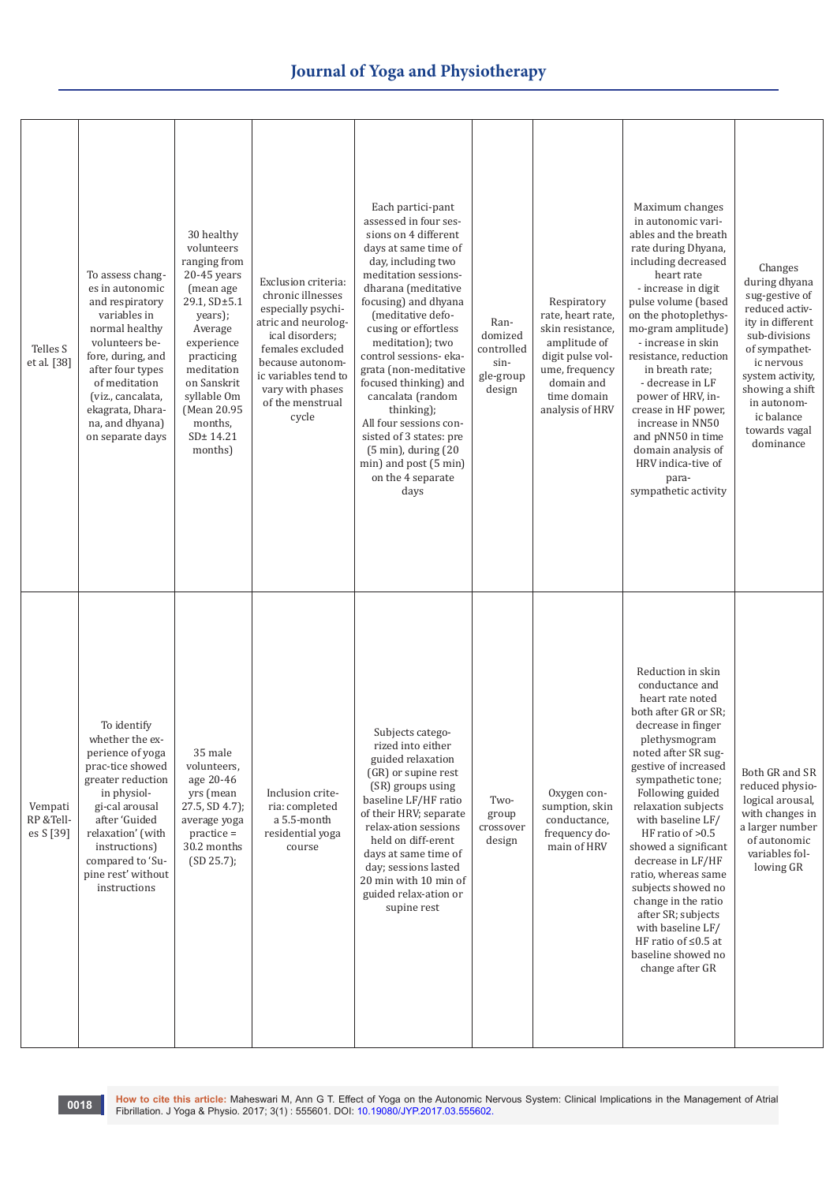| Telles S<br>et al. [38]           | To assess chang-<br>es in autonomic<br>and respiratory<br>variables in<br>normal healthy<br>volunteers be-<br>fore, during, and<br>after four types<br>of meditation<br>(viz., cancalata,<br>ekagrata, Dhara-<br>na, and dhyana)<br>on separate days | 30 healthy<br>volunteers<br>ranging from<br>20-45 years<br>(mean age<br>29.1, SD±5.1<br>years);<br>Average<br>experience<br>practicing<br>meditation<br>on Sanskrit<br>syllable Om<br>(Mean 20.95<br>months,<br>SD± 14.21<br>months) | Exclusion criteria:<br>chronic illnesses<br>especially psychi-<br>atric and neurolog-<br>ical disorders;<br>females excluded<br>because autonom-<br>ic variables tend to<br>vary with phases<br>of the menstrual<br>cycle | Each partici-pant<br>assessed in four ses-<br>sions on 4 different<br>days at same time of<br>day, including two<br>meditation sessions-<br>dharana (meditative<br>focusing) and dhyana<br>(meditative defo-<br>cusing or effortless<br>meditation); two<br>control sessions- eka-<br>grata (non-meditative<br>focused thinking) and<br>cancalata (random<br>thinking);<br>All four sessions con-<br>sisted of 3 states: pre<br>$(5 \text{ min})$ , during $(20 \text{ min})$<br>min) and post (5 min)<br>on the 4 separate<br>days | Ran-<br>domized<br>controlled<br>sin-<br>gle-group<br>design | Respiratory<br>rate, heart rate,<br>skin resistance,<br>amplitude of<br>digit pulse vol-<br>ume, frequency<br>domain and<br>time domain<br>analysis of HRV | Maximum changes<br>in autonomic vari-<br>ables and the breath<br>rate during Dhyana,<br>including decreased<br>heart rate<br>- increase in digit<br>pulse volume (based<br>on the photoplethys-<br>mo-gram amplitude)<br>- increase in skin<br>resistance, reduction<br>in breath rate;<br>- decrease in LF<br>power of HRV, in-<br>crease in HF power,<br>increase in NN50<br>and pNN50 in time<br>domain analysis of<br>HRV indica-tive of<br>para-<br>sympathetic activity                                     | Changes<br>during dhyana<br>sug-gestive of<br>reduced activ-<br>ity in different<br>sub-divisions<br>of sympathet-<br>ic nervous<br>system activity,<br>showing a shift<br>in autonom-<br>ic balance<br>towards vagal<br>dominance |
|-----------------------------------|------------------------------------------------------------------------------------------------------------------------------------------------------------------------------------------------------------------------------------------------------|--------------------------------------------------------------------------------------------------------------------------------------------------------------------------------------------------------------------------------------|---------------------------------------------------------------------------------------------------------------------------------------------------------------------------------------------------------------------------|-------------------------------------------------------------------------------------------------------------------------------------------------------------------------------------------------------------------------------------------------------------------------------------------------------------------------------------------------------------------------------------------------------------------------------------------------------------------------------------------------------------------------------------|--------------------------------------------------------------|------------------------------------------------------------------------------------------------------------------------------------------------------------|-------------------------------------------------------------------------------------------------------------------------------------------------------------------------------------------------------------------------------------------------------------------------------------------------------------------------------------------------------------------------------------------------------------------------------------------------------------------------------------------------------------------|------------------------------------------------------------------------------------------------------------------------------------------------------------------------------------------------------------------------------------|
| Vempati<br>RP &Tell-<br>es S [39] | To identify<br>whether the ex-<br>perience of yoga<br>prac-tice showed<br>greater reduction<br>in physiol-<br>gi-cal arousal<br>after 'Guided<br>relaxation' (with<br>instructions)<br>compared to 'Su-<br>pine rest' without<br>instructions        | 35 male<br>volunteers,<br>age 20-46<br>yrs (mean<br>$27.5$ , SD $4.7$ );<br>average yoga<br>$practive =$<br>30.2 months<br>(SD 25.7);                                                                                                | Inclusion crite-<br>ria: completed<br>a 5.5-month<br>residential yoga<br>course                                                                                                                                           | Subjects catego-<br>rized into either<br>guided relaxation<br>(GR) or supine rest<br>(SR) groups using<br>baseline LF/HF ratio<br>of their HRV; separate<br>relax-ation sessions<br>held on diff-erent<br>days at same time of<br>day; sessions lasted<br>20 min with 10 min of<br>guided relax-ation or<br>supine rest                                                                                                                                                                                                             | Two-<br>group<br>crossover<br>design                         | Oxygen con-<br>sumption, skin<br>conductance,<br>frequency do-<br>main of HRV                                                                              | Reduction in skin<br>conductance and<br>heart rate noted<br>both after GR or SR;<br>decrease in finger<br>plethysmogram<br>noted after SR sug-<br>gestive of increased<br>sympathetic tone;<br>Following guided<br>relaxation subjects<br>with baseline LF/<br>HF ratio of >0.5<br>showed a significant<br>decrease in LF/HF<br>ratio, whereas same<br>subjects showed no<br>change in the ratio<br>after SR; subjects<br>with baseline LF/<br>HF ratio of $\leq 0.5$ at<br>baseline showed no<br>change after GR | Both GR and SR<br>reduced physio-<br>logical arousal,<br>with changes in<br>a larger number<br>of autonomic<br>variables fol-<br>lowing GR                                                                                         |

10018 How to cite this article: Maheswari M, Ann G T[.](http://dx.doi.org/10.19080/JYP.2017.02.555601) Effect of Yoga on the Autonomic Nervous System: Clinical Implications in the Management of Atrial<br>Fibrillation. J Yoga & Physio. 2017; 3(1) : 555601. DOI: 10.19080/JYP.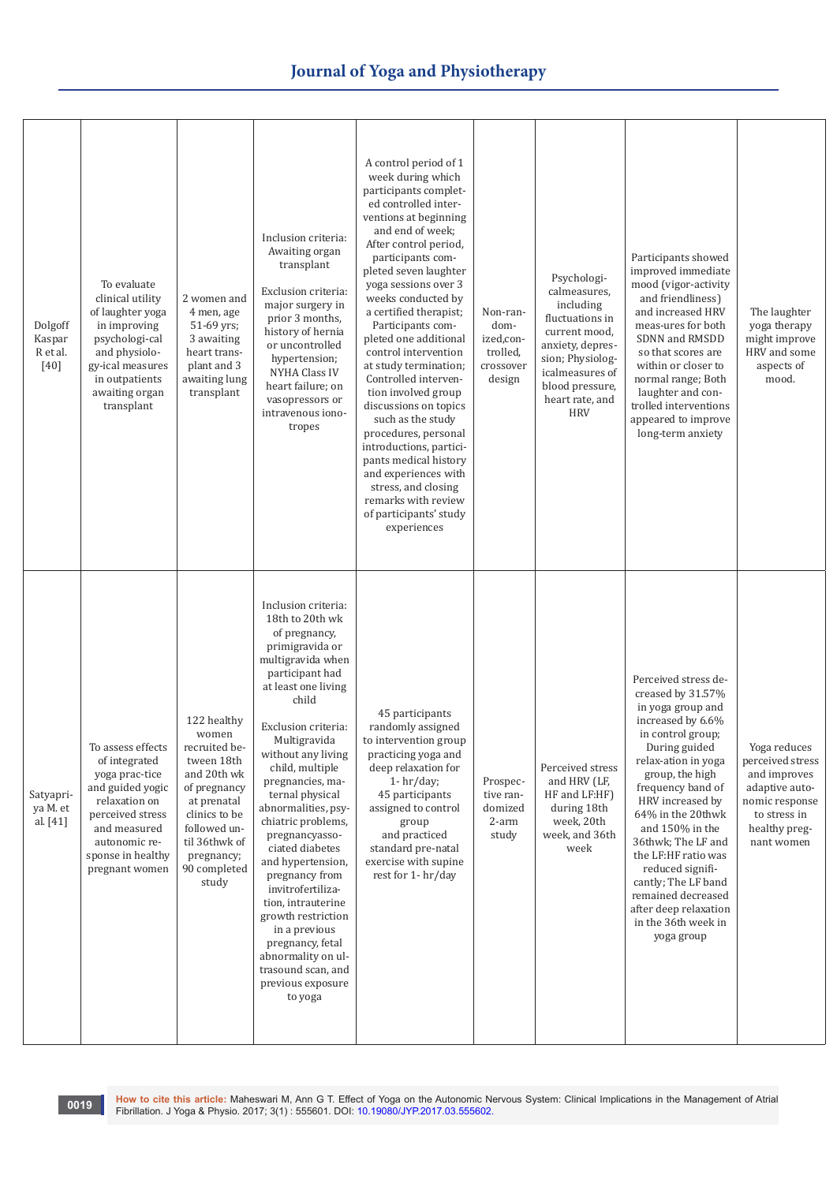| Dolgoff<br>Kaspar<br>R et al.<br>$[40]$ | To evaluate<br>clinical utility<br>of laughter yoga<br>in improving<br>psychologi-cal<br>and physiolo-<br>gy-ical measures<br>in outpatients<br>awaiting organ<br>transplant          | 2 women and<br>4 men, age<br>51-69 yrs;<br>3 awaiting<br>heart trans-<br>plant and 3<br>awaiting lung<br>transplant                                                                        | Inclusion criteria:<br>Awaiting organ<br>transplant<br>Exclusion criteria:<br>major surgery in<br>prior 3 months,<br>history of hernia<br>or uncontrolled<br>hypertension;<br>NYHA Class IV<br>heart failure; on<br>vasopressors or<br>intravenous iono-<br>tropes                                                                                                                                                                                                                                                                                                                   | A control period of 1<br>week during which<br>participants complet-<br>ed controlled inter-<br>ventions at beginning<br>and end of week;<br>After control period,<br>participants com-<br>pleted seven laughter<br>yoga sessions over 3<br>weeks conducted by<br>a certified therapist;<br>Participants com-<br>pleted one additional<br>control intervention<br>at study termination;<br>Controlled interven-<br>tion involved group<br>discussions on topics<br>such as the study<br>procedures, personal<br>introductions, partici-<br>pants medical history<br>and experiences with<br>stress, and closing<br>remarks with review<br>of participants' study<br>experiences | Non-ran-<br>dom-<br>ized,con-<br>trolled,<br>crossover<br>design | Psychologi-<br>calmeasures,<br>including<br>fluctuations in<br>current mood,<br>anxiety, depres-<br>sion; Physiolog-<br>icalmeasures of<br>blood pressure,<br>heart rate, and<br><b>HRV</b> | Participants showed<br>improved immediate<br>mood (vigor-activity<br>and friendliness)<br>and increased HRV<br>meas-ures for both<br>SDNN and RMSDD<br>so that scores are<br>within or closer to<br>normal range; Both<br>laughter and con-<br>trolled interventions<br>appeared to improve<br>long-term anxiety                                                                                                                    | The laughter<br>yoga therapy<br>might improve<br>HRV and some<br>aspects of<br>mood.                                                |
|-----------------------------------------|---------------------------------------------------------------------------------------------------------------------------------------------------------------------------------------|--------------------------------------------------------------------------------------------------------------------------------------------------------------------------------------------|--------------------------------------------------------------------------------------------------------------------------------------------------------------------------------------------------------------------------------------------------------------------------------------------------------------------------------------------------------------------------------------------------------------------------------------------------------------------------------------------------------------------------------------------------------------------------------------|--------------------------------------------------------------------------------------------------------------------------------------------------------------------------------------------------------------------------------------------------------------------------------------------------------------------------------------------------------------------------------------------------------------------------------------------------------------------------------------------------------------------------------------------------------------------------------------------------------------------------------------------------------------------------------|------------------------------------------------------------------|---------------------------------------------------------------------------------------------------------------------------------------------------------------------------------------------|-------------------------------------------------------------------------------------------------------------------------------------------------------------------------------------------------------------------------------------------------------------------------------------------------------------------------------------------------------------------------------------------------------------------------------------|-------------------------------------------------------------------------------------------------------------------------------------|
| Satyapri-<br>ya M. et<br>al. [41]       | To assess effects<br>of integrated<br>yoga prac-tice<br>and guided yogic<br>relaxation on<br>perceived stress<br>and measured<br>autonomic re-<br>sponse in healthy<br>pregnant women | 122 healthy<br>women<br>recruited be-<br>tween 18th<br>and 20th wk<br>of pregnancy<br>at prenatal<br>clinics to be<br>followed un-<br>til 36thwk of<br>pregnancy;<br>90 completed<br>study | Inclusion criteria:<br>18th to 20th wk<br>of pregnancy,<br>primigravida or<br>multigravida when<br>participant had<br>at least one living<br>child<br>Exclusion criteria:<br>Multigravida<br>without any living<br>child, multiple<br>pregnancies, ma-<br>ternal physical<br>abnormalities, psy-<br>chiatric problems,<br>pregnancyasso-<br>ciated diabetes<br>and hypertension,<br>pregnancy from<br>invitrofertiliza-<br>tion, intrauterine<br>growth restriction<br>in a previous<br>pregnancy, fetal<br>abnormality on ul-<br>trasound scan, and<br>previous exposure<br>to yoga | 45 participants<br>randomly assigned<br>to intervention group<br>practicing yoga and<br>deep relaxation for<br>$1 - hr/day;$<br>45 participants<br>assigned to control<br>group<br>and practiced<br>standard pre-natal<br>exercise with supine<br>rest for 1-hr/day                                                                                                                                                                                                                                                                                                                                                                                                            | Prospec-<br>tive ran-<br>domized<br>2-arm<br>study               | Perceived stress<br>and HRV (LF,<br>HF and LF:HF)<br>during 18th<br>week, 20th<br>week, and 36th<br>week                                                                                    | Perceived stress de-<br>creased by 31.57%<br>in yoga group and<br>increased by 6.6%<br>in control group;<br>During guided<br>relax-ation in yoga<br>group, the high<br>frequency band of<br>HRV increased by<br>64% in the 20thwk<br>and $150\%$ in the<br>36thwk; The LF and<br>the LF:HF ratio was<br>reduced signifi-<br>cantly; The LF band<br>remained decreased<br>after deep relaxation<br>in the 36th week in<br>yoga group | Yoga reduces<br>perceived stress<br>and improves<br>adaptive auto-<br>nomic response<br>to stress in<br>healthy preg-<br>nant women |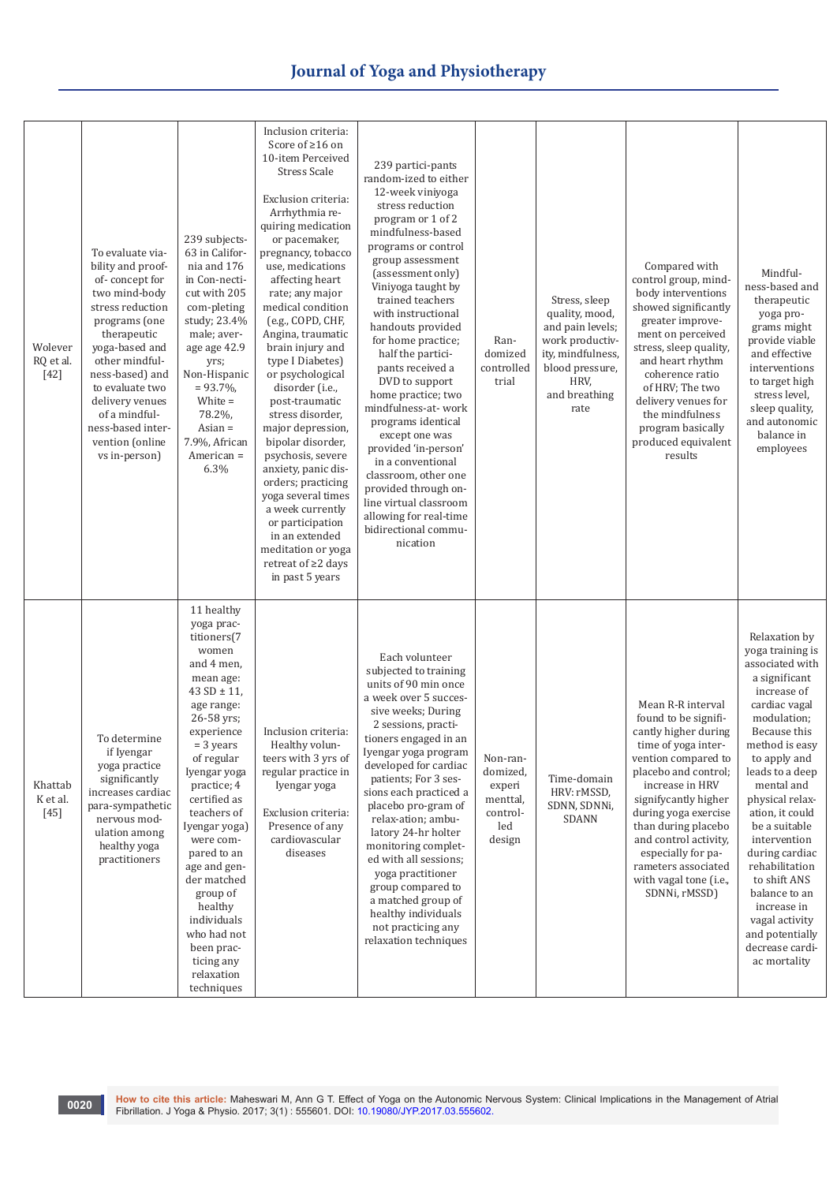| Wolever<br>RQ et al.<br>$[42]$ | To evaluate via-<br>bility and proof-<br>of-concept for<br>two mind-body<br>stress reduction<br>programs (one<br>therapeutic<br>yoga-based and<br>other mindful-<br>ness-based) and<br>to evaluate two<br>delivery venues<br>of a mindful-<br>ness-based inter-<br>vention (online<br>vs in-person) | 239 subjects-<br>63 in Califor-<br>nia and 176<br>in Con-necti-<br>cut with 205<br>com-pleting<br>study; 23.4%<br>male; aver-<br>age age 42.9<br>yrs;<br>Non-Hispanic<br>$= 93.7\%$<br>White $=$<br>78.2%,<br>$\text{Asian} =$<br>7.9%, African<br>American =<br>6.3%                                                                                                                                                         | Inclusion criteria:<br>Score of $\geq 16$ on<br>10-item Perceived<br><b>Stress Scale</b><br>Exclusion criteria:<br>Arrhythmia re-<br>quiring medication<br>or pacemaker,<br>pregnancy, tobacco<br>use, medications<br>affecting heart<br>rate; any major<br>medical condition<br>(e.g., COPD, CHF,<br>Angina, traumatic<br>brain injury and<br>type I Diabetes)<br>or psychological<br>disorder (i.e.,<br>post-traumatic<br>stress disorder,<br>major depression,<br>bipolar disorder,<br>psychosis, severe<br>anxiety, panic dis-<br>orders; practicing<br>yoga several times<br>a week currently<br>or participation<br>in an extended<br>meditation or yoga<br>retreat of ≥2 days<br>in past 5 years | 239 partici-pants<br>random-ized to either<br>12-week viniyoga<br>stress reduction<br>program or 1 of 2<br>mindfulness-based<br>programs or control<br>group assessment<br>(assessment only)<br>Viniyoga taught by<br>trained teachers<br>with instructional<br>handouts provided<br>for home practice;<br>half the partici-<br>pants received a<br>DVD to support<br>home practice; two<br>mindfulness-at-work<br>programs identical<br>except one was<br>provided 'in-person'<br>in a conventional<br>classroom, other one<br>provided through on-<br>line virtual classroom<br>allowing for real-time<br>bidirectional commu-<br>nication | Ran-<br>domized<br>controlled<br>trial                                  | Stress, sleep<br>quality, mood,<br>and pain levels;<br>work productiv-<br>ity, mindfulness,<br>blood pressure,<br>HRV.<br>and breathing<br>rate | Compared with<br>control group, mind-<br>body interventions<br>showed significantly<br>greater improve-<br>ment on perceived<br>stress, sleep quality,<br>and heart rhythm<br>coherence ratio<br>of HRV; The two<br>delivery venues for<br>the mindfulness<br>program basically<br>produced equivalent<br>results                                  | Mindful-<br>ness-based and<br>therapeutic<br>yoga pro-<br>grams might<br>provide viable<br>and effective<br>interventions<br>to target high<br>stress level,<br>sleep quality,<br>and autonomic<br>balance in<br>employees                                                                                                                                                                                                                 |
|--------------------------------|-----------------------------------------------------------------------------------------------------------------------------------------------------------------------------------------------------------------------------------------------------------------------------------------------------|-------------------------------------------------------------------------------------------------------------------------------------------------------------------------------------------------------------------------------------------------------------------------------------------------------------------------------------------------------------------------------------------------------------------------------|---------------------------------------------------------------------------------------------------------------------------------------------------------------------------------------------------------------------------------------------------------------------------------------------------------------------------------------------------------------------------------------------------------------------------------------------------------------------------------------------------------------------------------------------------------------------------------------------------------------------------------------------------------------------------------------------------------|----------------------------------------------------------------------------------------------------------------------------------------------------------------------------------------------------------------------------------------------------------------------------------------------------------------------------------------------------------------------------------------------------------------------------------------------------------------------------------------------------------------------------------------------------------------------------------------------------------------------------------------------|-------------------------------------------------------------------------|-------------------------------------------------------------------------------------------------------------------------------------------------|----------------------------------------------------------------------------------------------------------------------------------------------------------------------------------------------------------------------------------------------------------------------------------------------------------------------------------------------------|--------------------------------------------------------------------------------------------------------------------------------------------------------------------------------------------------------------------------------------------------------------------------------------------------------------------------------------------------------------------------------------------------------------------------------------------|
| Khattab<br>K et al.<br>$[45]$  | To determine<br>if Iyengar<br>yoga practice<br>significantly<br>increases cardiac<br>para-sympathetic<br>nervous mod-<br>ulation among<br>healthy yoga<br>practitioners                                                                                                                             | 11 healthy<br>yoga prac-<br>titioners(7<br>women<br>and 4 men,<br>mean age:<br>$43 SD \pm 11$ ,<br>age range:<br>26-58 yrs;<br>experience<br>$=$ 3 years<br>of regular<br>Iyengar yoga<br>practice; 4<br>certified as<br>teachers of<br>Iyengar yoga)<br>were com-<br>pared to an<br>age and gen-<br>der matched<br>group of<br>healthy<br>individuals<br>who had not<br>been prac-<br>ticing any<br>relaxation<br>techniques | Inclusion criteria:<br>Healthy volun-<br>teers with 3 yrs of<br>regular practice in<br>Iyengar yoga<br>Exclusion criteria:<br>Presence of any<br>cardiovascular<br>diseases                                                                                                                                                                                                                                                                                                                                                                                                                                                                                                                             | Each volunteer<br>subjected to training<br>units of 90 min once<br>a week over 5 succes-<br>sive weeks; During<br>2 sessions, practi-<br>tioners engaged in an<br>Iyengar yoga program<br>developed for cardiac<br>patients; For 3 ses-<br>sions each practiced a<br>placebo pro-gram of<br>relax-ation; ambu-<br>latory 24-hr holter<br>monitoring complet-<br>ed with all sessions;<br>yoga practitioner<br>group compared to<br>a matched group of<br>healthy individuals<br>not practicing any<br>relaxation techniques                                                                                                                  | Non-ran-<br>domized,<br>experi<br>menttal,<br>control-<br>led<br>design | Time-domain<br>HRV: rMSSD,<br>SDNN, SDNNi,<br>SDANN                                                                                             | Mean R-R interval<br>found to be signifi-<br>cantly higher during<br>time of yoga inter-<br>vention compared to<br>placebo and control;<br>increase in HRV<br>signifycantly higher<br>during yoga exercise<br>than during placebo<br>and control activity,<br>especially for pa-<br>rameters associated<br>with vagal tone (i.e.,<br>SDNNi, rMSSD) | Relaxation by<br>yoga training is<br>associated with<br>a significant<br>increase of<br>cardiac vagal<br>modulation;<br>Because this<br>method is easy<br>to apply and<br>leads to a deep<br>mental and<br>physical relax-<br>ation, it could<br>be a suitable<br>intervention<br>during cardiac<br>rehabilitation<br>to shift ANS<br>balance to an<br>increase in<br>vagal activity<br>and potentially<br>decrease cardi-<br>ac mortality |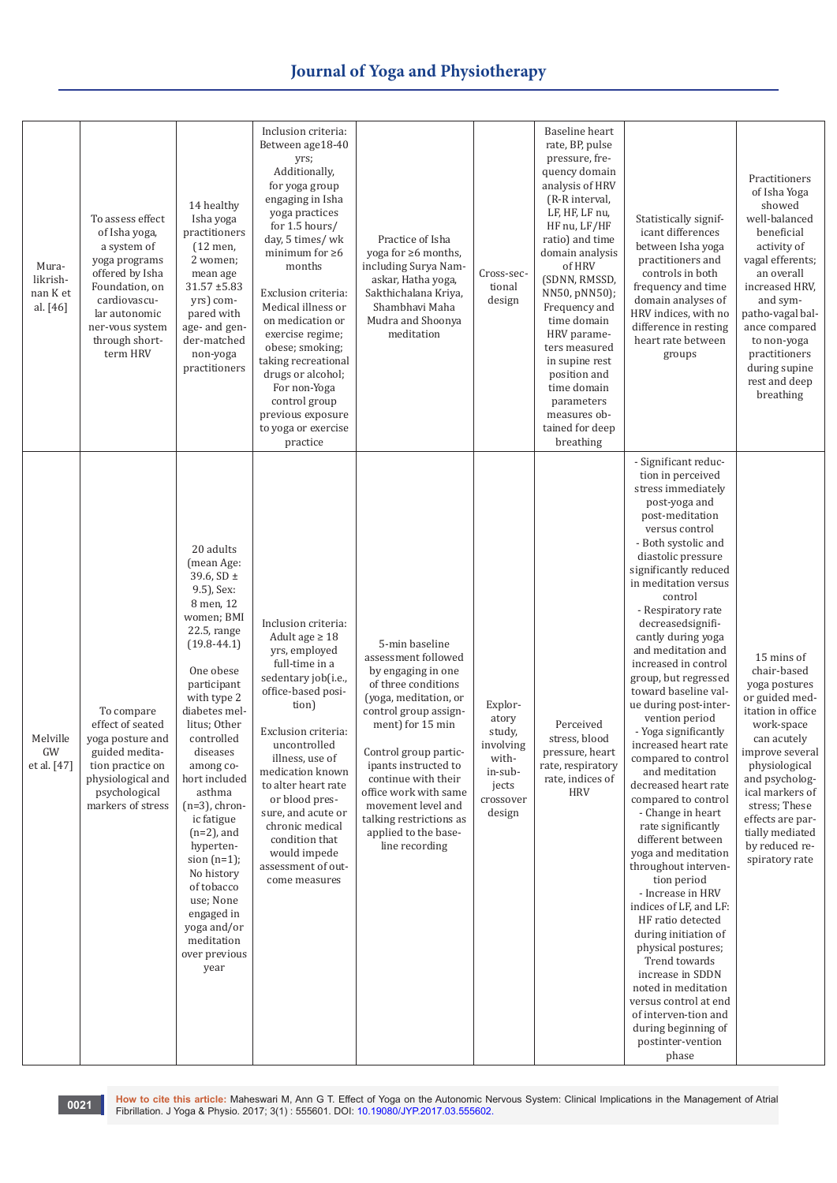| Mura-<br>likrish-<br>nan K et<br>al. [46] | To assess effect<br>of Isha yoga,<br>a system of<br>yoga programs<br>offered by Isha<br>Foundation, on<br>cardiovascu-<br>lar autonomic<br>ner-vous system<br>through short-<br>term HRV | 14 healthy<br>Isha yoga<br>practitioners<br>$(12$ men,<br>2 women;<br>mean age<br>$31.57 + 5.83$<br>yrs) com-<br>pared with<br>age- and gen-<br>der-matched<br>non-yoga<br>practitioners                                                                                                                                                                                                                                                                        | Inclusion criteria:<br>Between age18-40<br>yrs;<br>Additionally,<br>for yoga group<br>engaging in Isha<br>yoga practices<br>for 1.5 hours/<br>day, 5 times/ wk<br>minimum for $\geq 6$<br>months<br>Exclusion criteria:<br>Medical illness or<br>on medication or<br>exercise regime;<br>obese; smoking;<br>taking recreational<br>drugs or alcohol;<br>For non-Yoga<br>control group<br>previous exposure<br>to yoga or exercise<br>practice | Practice of Isha<br>yoga for $\geq 6$ months,<br>including Surya Nam-<br>askar, Hatha yoga,<br>Sakthichalana Kriya,<br>Shambhavi Maha<br>Mudra and Shoonya<br>meditation                                                                                                                                                                             | Cross-sec-<br>tional<br>design                                                              | Baseline heart<br>rate, BP, pulse<br>pressure, fre-<br>quency domain<br>analysis of HRV<br>(R-R interval,<br>LF, HF, LF nu,<br>HF nu, LF/HF<br>ratio) and time<br>domain analysis<br>of HRV<br>(SDNN, RMSSD,<br>NN50, pNN50);<br>Frequency and<br>time domain<br>HRV parame-<br>ters measured<br>in supine rest<br>position and<br>time domain<br>parameters<br>measures ob-<br>tained for deep<br>breathing | Statistically signif-<br>icant differences<br>between Isha yoga<br>practitioners and<br>controls in both<br>frequency and time<br>domain analyses of<br>HRV indices, with no<br>difference in resting<br>heart rate between<br>groups                                                                                                                                                                                                                                                                                                                                                                                                                                                                                                                                                                                                                                                                                                                                                              | Practitioners<br>of Isha Yoga<br>showed<br>well-balanced<br>beneficial<br>activity of<br>vagal efferents;<br>an overall<br>increased HRV,<br>and sym-<br>patho-vagal bal-<br>ance compared<br>to non-yoga<br>practitioners<br>during supine<br>rest and deep<br>breathing           |
|-------------------------------------------|------------------------------------------------------------------------------------------------------------------------------------------------------------------------------------------|-----------------------------------------------------------------------------------------------------------------------------------------------------------------------------------------------------------------------------------------------------------------------------------------------------------------------------------------------------------------------------------------------------------------------------------------------------------------|-----------------------------------------------------------------------------------------------------------------------------------------------------------------------------------------------------------------------------------------------------------------------------------------------------------------------------------------------------------------------------------------------------------------------------------------------|------------------------------------------------------------------------------------------------------------------------------------------------------------------------------------------------------------------------------------------------------------------------------------------------------------------------------------------------------|---------------------------------------------------------------------------------------------|--------------------------------------------------------------------------------------------------------------------------------------------------------------------------------------------------------------------------------------------------------------------------------------------------------------------------------------------------------------------------------------------------------------|----------------------------------------------------------------------------------------------------------------------------------------------------------------------------------------------------------------------------------------------------------------------------------------------------------------------------------------------------------------------------------------------------------------------------------------------------------------------------------------------------------------------------------------------------------------------------------------------------------------------------------------------------------------------------------------------------------------------------------------------------------------------------------------------------------------------------------------------------------------------------------------------------------------------------------------------------------------------------------------------------|-------------------------------------------------------------------------------------------------------------------------------------------------------------------------------------------------------------------------------------------------------------------------------------|
| Melville<br>GW<br>et al. [47]             | To compare<br>effect of seated<br>yoga posture and<br>guided medita-<br>tion practice on<br>physiological and<br>psychological<br>markers of stress                                      | 20 adults<br>(mean Age:<br>39.6, $SD \pm$<br>9.5), Sex:<br>8 men, 12<br>women; BMI<br>22.5, range<br>$(19.8 - 44.1)$<br>One obese<br>participant<br>with type 2<br>diabetes mel-<br>litus; Other<br>controlled<br>diseases<br>among co-<br>hort included<br>asthma<br>$(n=3)$ , chron-<br>ic fatigue<br>$(n=2)$ , and<br>hyperten-<br>$sion(n=1);$<br>No history<br>of tobacco<br>use; None<br>engaged in<br>yoga and/or<br>meditation<br>over previous<br>year | Inclusion criteria:<br>Adult age $\geq 18$<br>yrs, employed<br>full-time in a<br>sedentary job(i.e.,<br>office-based posi-<br>tion)<br>Exclusion criteria:<br>uncontrolled<br>illness, use of<br>medication known<br>to alter heart rate<br>or blood pres-<br>sure, and acute or<br>chronic medical<br>condition that<br>would impede<br>assessment of out-<br>come measures                                                                  | 5-min baseline<br>assessment followed<br>by engaging in one<br>of three conditions<br>(yoga, meditation, or<br>control group assign-<br>ment) for 15 min<br>Control group partic-<br>ipants instructed to<br>continue with their<br>office work with same<br>movement level and<br>talking restrictions as<br>applied to the base-<br>line recording | Explor-<br>atory<br>study,<br>involving<br>with-<br>in-sub-<br>jects<br>crossover<br>design | Perceived<br>stress, blood<br>pressure, heart<br>rate, respiratory<br>rate, indices of<br><b>HRV</b>                                                                                                                                                                                                                                                                                                         | - Significant reduc-<br>tion in perceived<br>stress immediately<br>post-yoga and<br>post-meditation<br>versus control<br>- Both systolic and<br>diastolic pressure<br>significantly reduced<br>in meditation versus<br>control<br>- Respiratory rate<br>decreasedsignifi-<br>cantly during yoga<br>and meditation and<br>increased in control<br>group, but regressed<br>toward baseline val-<br>ue during post-inter-<br>vention period<br>- Yoga significantly<br>increased heart rate<br>compared to control<br>and meditation<br>decreased heart rate<br>compared to control<br>- Change in heart<br>rate significantly<br>different between<br>yoga and meditation<br>throughout interven-<br>tion period<br>- Increase in HRV<br>indices of LF, and LF:<br>HF ratio detected<br>during initiation of<br>physical postures;<br>Trend towards<br>increase in SDDN<br>noted in meditation<br>versus control at end<br>of interven-tion and<br>during beginning of<br>postinter-vention<br>phase | 15 mins of<br>chair-based<br>yoga postures<br>or guided med-<br>itation in office<br>work-space<br>can acutely<br>improve several<br>physiological<br>and psycholog-<br>ical markers of<br>stress; These<br>effects are par-<br>tially mediated<br>by reduced re-<br>spiratory rate |

**0021** How to cite this article: Maheswari M, Ann G T[.](http://dx.doi.org/10.19080/JYP.2017.02.555601) Effect of Yoga on the Autonomic Nervous System: Clinical Implications in the Management of Atrial<br>Fibrillation. J Yoga & Physio. 2017; 3(1) : 555601. DOI: 10.19080/JYP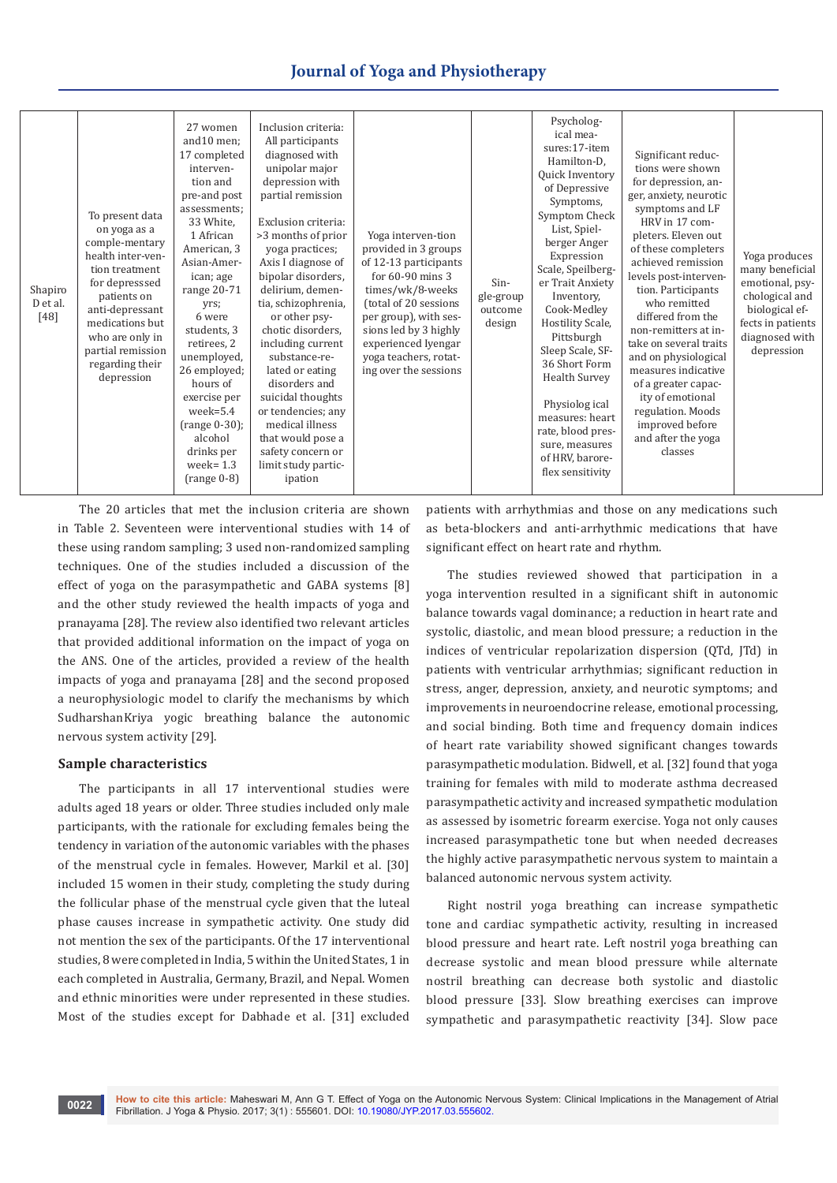| Shapiro<br>D et al.<br>$[48]$ | To present data<br>on yoga as a<br>comple-mentary<br>health inter-ven-<br>tion treatment<br>for depresssed<br>patients on<br>anti-depressant<br>medications but<br>who are only in<br>partial remission<br>regarding their<br>depression | 27 women<br>and 10 men:<br>17 completed<br>interven-<br>tion and<br>pre-and post<br>assessments;<br>33 White.<br>1 African<br>American, 3<br>Asian-Amer-<br>ican; age<br>range 20-71<br>yrs;<br>6 were<br>students, 3<br>retirees, 2<br>unemployed,<br>26 employed;<br>hours of<br>exercise per<br>$week=5.4$<br>$(range 0-30);$<br>alcohol<br>drinks per<br>week= $1.3$<br>$(range 0-8)$ | Inclusion criteria:<br>All participants<br>diagnosed with<br>unipolar major<br>depression with<br>partial remission<br>Exclusion criteria:<br>>3 months of prior<br>yoga practices;<br>Axis I diagnose of<br>bipolar disorders,<br>delirium, demen-<br>tia, schizophrenia,<br>or other psy-<br>chotic disorders,<br>including current<br>substance-re-<br>lated or eating<br>disorders and<br>suicidal thoughts<br>or tendencies; any<br>medical illness<br>that would pose a<br>safety concern or<br>limit study partic-<br>ipation | Yoga interven-tion<br>provided in 3 groups<br>of 12-13 participants<br>for $60-90$ mins 3<br>times/wk/8-weeks<br>(total of 20 sessions<br>per group), with ses-<br>sions led by 3 highly<br>experienced Iyengar<br>yoga teachers, rotat-<br>ing over the sessions | Sin-<br>gle-group<br>outcome<br>design | Psycholog-<br>ical mea-<br>sures:17-item<br>Hamilton-D.<br>Quick Inventory<br>of Depressive<br>Symptoms,<br>Symptom Check<br>List, Spiel-<br>berger Anger<br>Expression<br>Scale, Speilberg-<br>er Trait Anxiety<br>Inventory,<br>Cook-Medley<br>Hostility Scale,<br>Pittsburgh<br>Sleep Scale, SF-<br>36 Short Form<br><b>Health Survey</b><br>Physiolog ical<br>measures: heart<br>rate, blood pres-<br>sure, measures<br>of HRV, barore-<br>flex sensitivity | Significant reduc-<br>tions were shown<br>for depression, an-<br>ger, anxiety, neurotic<br>symptoms and LF<br>HRV in 17 com-<br>pleters. Eleven out<br>of these completers<br>achieved remission<br>levels post-interven-<br>tion. Participants<br>who remitted<br>differed from the<br>non-remitters at in-<br>take on several traits<br>and on physiological<br>measures indicative<br>of a greater capac-<br>ity of emotional<br>regulation. Moods<br>improved before<br>and after the yoga<br>classes | Yoga produces<br>many beneficial<br>emotional, psy-<br>chological and<br>biological ef-<br>fects in patients<br>diagnosed with<br>depression |
|-------------------------------|------------------------------------------------------------------------------------------------------------------------------------------------------------------------------------------------------------------------------------------|-------------------------------------------------------------------------------------------------------------------------------------------------------------------------------------------------------------------------------------------------------------------------------------------------------------------------------------------------------------------------------------------|--------------------------------------------------------------------------------------------------------------------------------------------------------------------------------------------------------------------------------------------------------------------------------------------------------------------------------------------------------------------------------------------------------------------------------------------------------------------------------------------------------------------------------------|-------------------------------------------------------------------------------------------------------------------------------------------------------------------------------------------------------------------------------------------------------------------|----------------------------------------|-----------------------------------------------------------------------------------------------------------------------------------------------------------------------------------------------------------------------------------------------------------------------------------------------------------------------------------------------------------------------------------------------------------------------------------------------------------------|-----------------------------------------------------------------------------------------------------------------------------------------------------------------------------------------------------------------------------------------------------------------------------------------------------------------------------------------------------------------------------------------------------------------------------------------------------------------------------------------------------------|----------------------------------------------------------------------------------------------------------------------------------------------|
|-------------------------------|------------------------------------------------------------------------------------------------------------------------------------------------------------------------------------------------------------------------------------------|-------------------------------------------------------------------------------------------------------------------------------------------------------------------------------------------------------------------------------------------------------------------------------------------------------------------------------------------------------------------------------------------|--------------------------------------------------------------------------------------------------------------------------------------------------------------------------------------------------------------------------------------------------------------------------------------------------------------------------------------------------------------------------------------------------------------------------------------------------------------------------------------------------------------------------------------|-------------------------------------------------------------------------------------------------------------------------------------------------------------------------------------------------------------------------------------------------------------------|----------------------------------------|-----------------------------------------------------------------------------------------------------------------------------------------------------------------------------------------------------------------------------------------------------------------------------------------------------------------------------------------------------------------------------------------------------------------------------------------------------------------|-----------------------------------------------------------------------------------------------------------------------------------------------------------------------------------------------------------------------------------------------------------------------------------------------------------------------------------------------------------------------------------------------------------------------------------------------------------------------------------------------------------|----------------------------------------------------------------------------------------------------------------------------------------------|

The 20 articles that met the inclusion criteria are shown in Table 2. Seventeen were interventional studies with 14 of these using random sampling; 3 used non-randomized sampling techniques. One of the studies included a discussion of the effect of yoga on the parasympathetic and GABA systems [8] and the other study reviewed the health impacts of yoga and pranayama [28]. The review also identified two relevant articles that provided additional information on the impact of yoga on the ANS. One of the articles, provided a review of the health impacts of yoga and pranayama [28] and the second proposed a neurophysiologic model to clarify the mechanisms by which SudharshanKriya yogic breathing balance the autonomic nervous system activity [29].

#### **Sample characteristics**

The participants in all 17 interventional studies were adults aged 18 years or older. Three studies included only male participants, with the rationale for excluding females being the tendency in variation of the autonomic variables with the phases of the menstrual cycle in females. However, Markil et al. [30] included 15 women in their study, completing the study during the follicular phase of the menstrual cycle given that the luteal phase causes increase in sympathetic activity. One study did not mention the sex of the participants. Of the 17 interventional studies, 8 were completed in India, 5 within the United States, 1 in each completed in Australia, Germany, Brazil, and Nepal. Women and ethnic minorities were under represented in these studies. Most of the studies except for Dabhade et al. [31] excluded

patients with arrhythmias and those on any medications such as beta-blockers and anti-arrhythmic medications that have significant effect on heart rate and rhythm.

The studies reviewed showed that participation in a yoga intervention resulted in a significant shift in autonomic balance towards vagal dominance; a reduction in heart rate and systolic, diastolic, and mean blood pressure; a reduction in the indices of ventricular repolarization dispersion (QTd, JTd) in patients with ventricular arrhythmias; significant reduction in stress, anger, depression, anxiety, and neurotic symptoms; and improvements in neuroendocrine release, emotional processing, and social binding. Both time and frequency domain indices of heart rate variability showed significant changes towards parasympathetic modulation. Bidwell, et al. [32] found that yoga training for females with mild to moderate asthma decreased parasympathetic activity and increased sympathetic modulation as assessed by isometric forearm exercise. Yoga not only causes increased parasympathetic tone but when needed decreases the highly active parasympathetic nervous system to maintain a balanced autonomic nervous system activity.

Right nostril yoga breathing can increase sympathetic tone and cardiac sympathetic activity, resulting in increased blood pressure and heart rate. Left nostril yoga breathing can decrease systolic and mean blood pressure while alternate nostril breathing can decrease both systolic and diastolic blood pressure [33]. Slow breathing exercises can improve sympathetic and parasympathetic reactivity [34]. Slow pace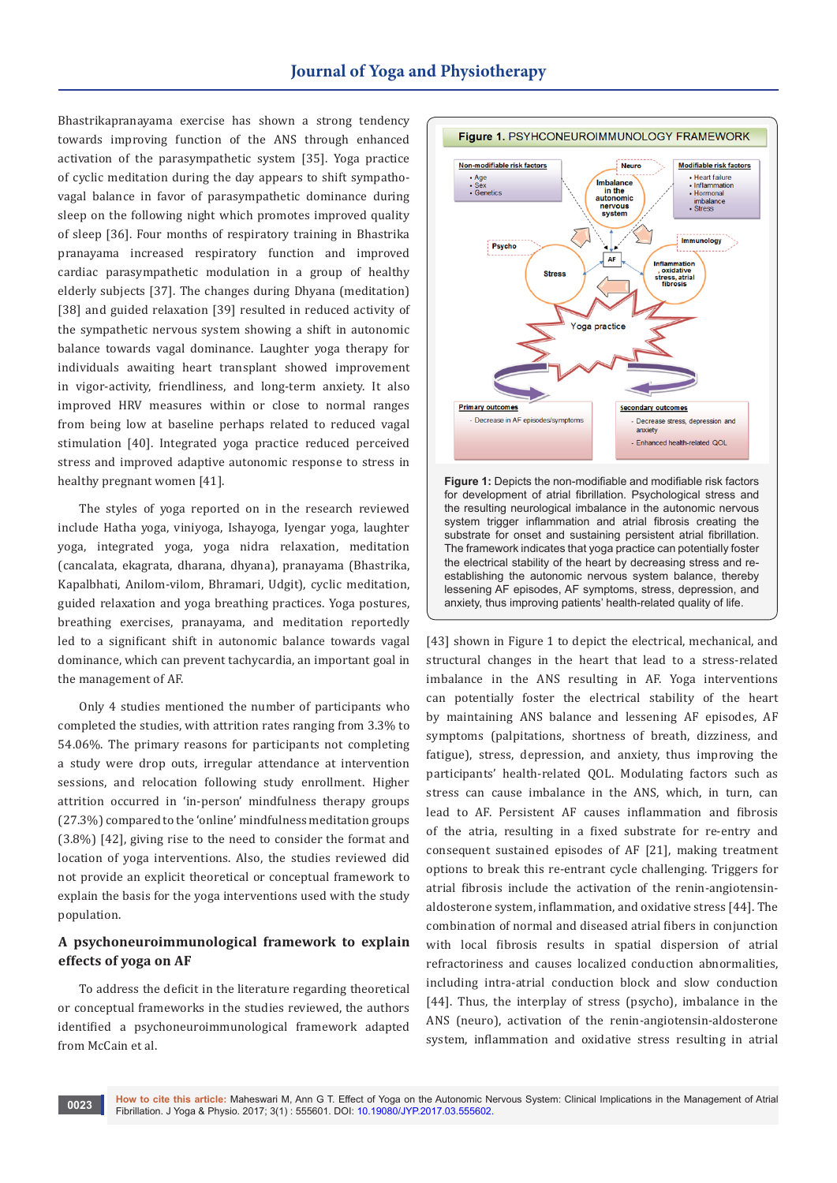Bhastrikapranayama exercise has shown a strong tendency towards improving function of the ANS through enhanced activation of the parasympathetic system [35]. Yoga practice of cyclic meditation during the day appears to shift sympathovagal balance in favor of parasympathetic dominance during sleep on the following night which promotes improved quality of sleep [36]. Four months of respiratory training in Bhastrika pranayama increased respiratory function and improved cardiac parasympathetic modulation in a group of healthy elderly subjects [37]. The changes during Dhyana (meditation) [38] and guided relaxation [39] resulted in reduced activity of the sympathetic nervous system showing a shift in autonomic balance towards vagal dominance. Laughter yoga therapy for individuals awaiting heart transplant showed improvement in vigor-activity, friendliness, and long-term anxiety. It also improved HRV measures within or close to normal ranges from being low at baseline perhaps related to reduced vagal stimulation [40]. Integrated yoga practice reduced perceived stress and improved adaptive autonomic response to stress in healthy pregnant women [41].

The styles of yoga reported on in the research reviewed include Hatha yoga, viniyoga, Ishayoga, Iyengar yoga, laughter yoga, integrated yoga, yoga nidra relaxation, meditation (cancalata, ekagrata, dharana, dhyana), pranayama (Bhastrika, Kapalbhati, Anilom-vilom, Bhramari, Udgit), cyclic meditation, guided relaxation and yoga breathing practices. Yoga postures, breathing exercises, pranayama, and meditation reportedly led to a significant shift in autonomic balance towards vagal dominance, which can prevent tachycardia, an important goal in the management of AF.

Only 4 studies mentioned the number of participants who completed the studies, with attrition rates ranging from 3.3% to 54.06%. The primary reasons for participants not completing a study were drop outs, irregular attendance at intervention sessions, and relocation following study enrollment. Higher attrition occurred in 'in-person' mindfulness therapy groups (27.3%) compared to the 'online' mindfulness meditation groups (3.8%) [42], giving rise to the need to consider the format and location of yoga interventions. Also, the studies reviewed did not provide an explicit theoretical or conceptual framework to explain the basis for the yoga interventions used with the study population.

### **A psychoneuroimmunological framework to explain effects of yoga on AF**

To address the deficit in the literature regarding theoretical or conceptual frameworks in the studies reviewed, the authors identified a psychoneuroimmunological framework adapted from McCain et al.



**Figure 1:** Depicts the non-modifiable and modifiable risk factors for development of atrial fibrillation. Psychological stress and the resulting neurological imbalance in the autonomic nervous system trigger inflammation and atrial fibrosis creating the substrate for onset and sustaining persistent atrial fibrillation. The framework indicates that yoga practice can potentially foster the electrical stability of the heart by decreasing stress and reestablishing the autonomic nervous system balance, thereby lessening AF episodes, AF symptoms, stress, depression, and anxiety, thus improving patients' health-related quality of life.

[43] shown in Figure 1 to depict the electrical, mechanical, and structural changes in the heart that lead to a stress-related imbalance in the ANS resulting in AF. Yoga interventions can potentially foster the electrical stability of the heart by maintaining ANS balance and lessening AF episodes, AF symptoms (palpitations, shortness of breath, dizziness, and fatigue), stress, depression, and anxiety, thus improving the participants' health-related QOL. Modulating factors such as stress can cause imbalance in the ANS, which, in turn, can lead to AF. Persistent AF causes inflammation and fibrosis of the atria, resulting in a fixed substrate for re-entry and consequent sustained episodes of AF [21], making treatment options to break this re-entrant cycle challenging. Triggers for atrial fibrosis include the activation of the renin-angiotensinaldosterone system, inflammation, and oxidative stress [44]. The combination of normal and diseased atrial fibers in conjunction with local fibrosis results in spatial dispersion of atrial refractoriness and causes localized conduction abnormalities, including intra-atrial conduction block and slow conduction [44]. Thus, the interplay of stress (psycho), imbalance in the ANS (neuro), activation of the renin-angiotensin-aldosterone system, inflammation and oxidative stress resulting in atrial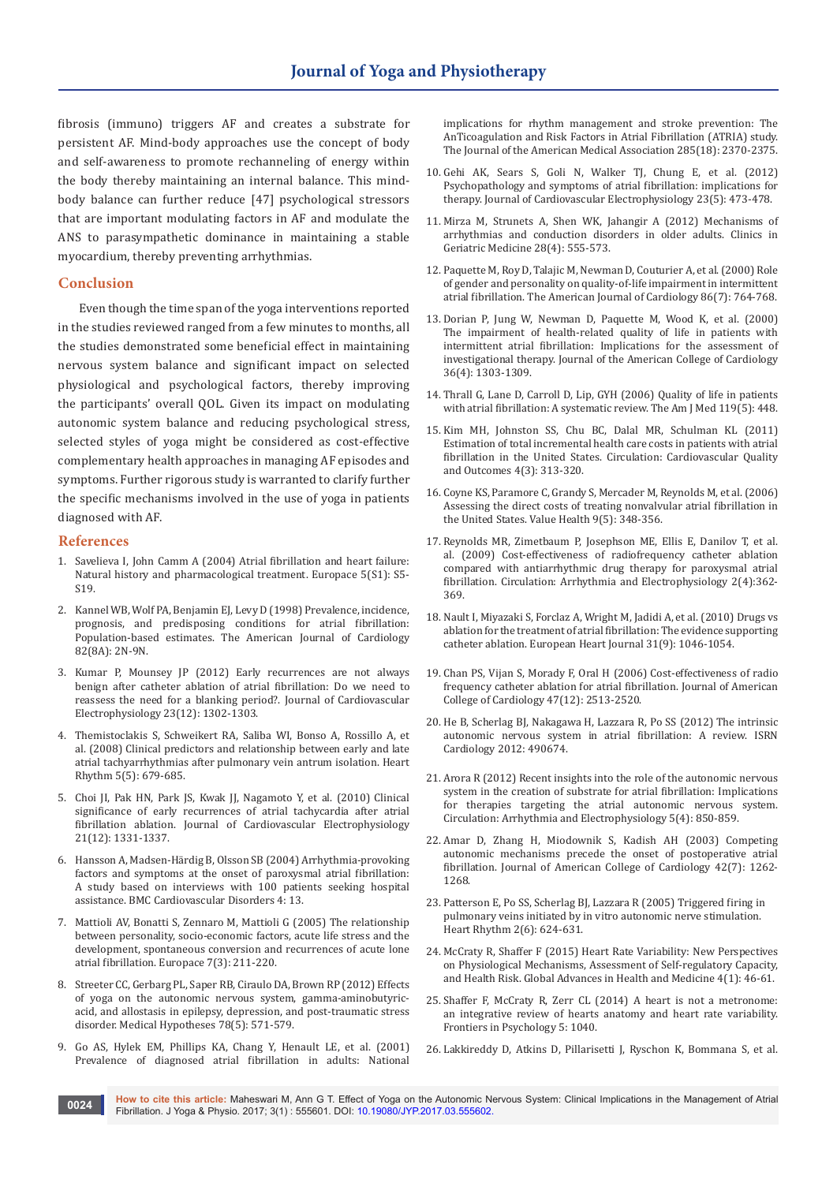fibrosis (immuno) triggers AF and creates a substrate for persistent AF. Mind-body approaches use the concept of body and self-awareness to promote rechanneling of energy within the body thereby maintaining an internal balance. This mindbody balance can further reduce [47] psychological stressors that are important modulating factors in AF and modulate the ANS to parasympathetic dominance in maintaining a stable myocardium, thereby preventing arrhythmias.

#### **Conclusion**

Even though the time span of the yoga interventions reported in the studies reviewed ranged from a few minutes to months, all the studies demonstrated some beneficial effect in maintaining nervous system balance and significant impact on selected physiological and psychological factors, thereby improving the participants' overall QOL. Given its impact on modulating autonomic system balance and reducing psychological stress, selected styles of yoga might be considered as cost-effective complementary health approaches in managing AF episodes and symptoms. Further rigorous study is warranted to clarify further the specific mechanisms involved in the use of yoga in patients diagnosed with AF.

#### **References**

- 1. [Savelieva I, John Camm A \(2004\) Atrial fibrillation and heart failure:](https://www.ncbi.nlm.nih.gov/pubmed/15450275)  [Natural history and pharmacological treatment. Europace 5\(S1\): S5-](https://www.ncbi.nlm.nih.gov/pubmed/15450275)  $S19$
- 2. [Kannel WB, Wolf PA, Benjamin EJ, Levy D \(1998\) Prevalence, incidence,](https://www.ncbi.nlm.nih.gov/pubmed/9809895)  [prognosis, and predisposing conditions for atrial fibrillation:](https://www.ncbi.nlm.nih.gov/pubmed/9809895)  [Population-based estimates. The American Journal of Cardiology](https://www.ncbi.nlm.nih.gov/pubmed/9809895)  [82\(8A\): 2N-9N.](https://www.ncbi.nlm.nih.gov/pubmed/9809895)
- 3. [Kumar P, Mounsey JP \(2012\) Early recurrences are not always](http://onlinelibrary.wiley.com/doi/10.1111/j.1540-8167.2012.02416.x/abstract)  [benign after catheter ablation of atrial fibrillation: Do we need to](http://onlinelibrary.wiley.com/doi/10.1111/j.1540-8167.2012.02416.x/abstract)  [reassess the need for a blanking period?. Journal of Cardiovascular](http://onlinelibrary.wiley.com/doi/10.1111/j.1540-8167.2012.02416.x/abstract)  [Electrophysiology 23\(12\): 1302-1303.](http://onlinelibrary.wiley.com/doi/10.1111/j.1540-8167.2012.02416.x/abstract)
- 4. [Themistoclakis S, Schweikert RA, Saliba WI, Bonso A, Rossillo A, et](https://www.ncbi.nlm.nih.gov/pubmed/18325850)  [al. \(2008\) Clinical predictors and relationship between early and late](https://www.ncbi.nlm.nih.gov/pubmed/18325850)  [atrial tachyarrhythmias after pulmonary vein antrum isolation. Heart](https://www.ncbi.nlm.nih.gov/pubmed/18325850)  [Rhythm 5\(5\): 679-685.](https://www.ncbi.nlm.nih.gov/pubmed/18325850)
- 5. [Choi JI, Pak HN, Park JS, Kwak JJ, Nagamoto Y, et al. \(2010\) Clinical](http://onlinelibrary.wiley.com/doi/10.1111/j.1540-8167.2010.01831.x/abstract)  [significance of early recurrences of atrial tachycardia after atrial](http://onlinelibrary.wiley.com/doi/10.1111/j.1540-8167.2010.01831.x/abstract)  [fibrillation ablation. Journal of Cardiovascular Electrophysiology](http://onlinelibrary.wiley.com/doi/10.1111/j.1540-8167.2010.01831.x/abstract)  [21\(12\): 1331-1337.](http://onlinelibrary.wiley.com/doi/10.1111/j.1540-8167.2010.01831.x/abstract)
- 6. [Hansson A, Madsen-Härdig B, Olsson SB \(2004\) Arrhythmia-provoking](https://bmccardiovascdisord.biomedcentral.com/articles/10.1186/1471-2261-4-13)  [factors and symptoms at the onset of paroxysmal atrial fibrillation:](https://bmccardiovascdisord.biomedcentral.com/articles/10.1186/1471-2261-4-13)  [A study based on interviews with 100 patients seeking hospital](https://bmccardiovascdisord.biomedcentral.com/articles/10.1186/1471-2261-4-13)  [assistance. BMC Cardiovascular Disorders 4: 13.](https://bmccardiovascdisord.biomedcentral.com/articles/10.1186/1471-2261-4-13)
- 7. [Mattioli AV, Bonatti S, Zennaro M, Mattioli G \(2005\) The relationship](https://www.ncbi.nlm.nih.gov/pubmed/15878557)  [between personality, socio-economic factors, acute life stress and the](https://www.ncbi.nlm.nih.gov/pubmed/15878557)  [development, spontaneous conversion and recurrences of acute lone](https://www.ncbi.nlm.nih.gov/pubmed/15878557)  [atrial fibrillation. Europace 7\(3\): 211-220.](https://www.ncbi.nlm.nih.gov/pubmed/15878557)
- 8. [Streeter CC, Gerbarg PL, Saper RB, Ciraulo DA, Brown RP \(2012\) Effects](https://www.ncbi.nlm.nih.gov/pubmed/22365651)  [of yoga on the autonomic nervous system, gamma-aminobutyric](https://www.ncbi.nlm.nih.gov/pubmed/22365651)[acid, and allostasis in epilepsy, depression, and post-traumatic stress](https://www.ncbi.nlm.nih.gov/pubmed/22365651)  [disorder. Medical Hypotheses 78\(5\): 571-579.](https://www.ncbi.nlm.nih.gov/pubmed/22365651)
- 9. [Go AS, Hylek EM, Phillips KA, Chang Y, Henault LE, et al. \(2001\)](https://www.ncbi.nlm.nih.gov/pubmed/11343485)  [Prevalence of diagnosed atrial fibrillation in adults: National](https://www.ncbi.nlm.nih.gov/pubmed/11343485)

[implications for rhythm management and stroke prevention: The](https://www.ncbi.nlm.nih.gov/pubmed/11343485)  [AnTicoagulation and Risk Factors in Atrial Fibrillation \(ATRIA\) study.](https://www.ncbi.nlm.nih.gov/pubmed/11343485)  The Journal of the American Medical Association 285(18): 2370-2375.

- 10. [Gehi AK, Sears S, Goli N, Walker TJ, Chung E, et al. \(2012\)](https://www.ncbi.nlm.nih.gov/pubmed/22429764)  [Psychopathology and symptoms of atrial fibrillation: implications for](https://www.ncbi.nlm.nih.gov/pubmed/22429764)  [therapy. Journal of Cardiovascular Electrophysiology 23\(5\): 473-478.](https://www.ncbi.nlm.nih.gov/pubmed/22429764)
- 11. [Mirza M, Strunets A, Shen WK, Jahangir A \(2012\) Mechanisms of](https://www.ncbi.nlm.nih.gov/pmc/articles/PMC3610528/)  [arrhythmias and conduction disorders in older adults. Clinics in](https://www.ncbi.nlm.nih.gov/pmc/articles/PMC3610528/)  [Geriatric Medicine 28\(4\): 555-573.](https://www.ncbi.nlm.nih.gov/pmc/articles/PMC3610528/)
- 12. [Paquette M, Roy D, Talajic M, Newman D, Couturier A, et al. \(2000\) Role](https://www.ncbi.nlm.nih.gov/pubmed/11018197)  [of gender and personality on quality-of-life impairment in intermittent](https://www.ncbi.nlm.nih.gov/pubmed/11018197)  atrial fibrillation. [The American Journal of Cardiology 86\(7\): 764-768.](https://www.ncbi.nlm.nih.gov/pubmed/11018197)
- 13. [Dorian P, Jung W, Newman D, Paquette M, Wood K, et al. \(2000\)](https://www.ncbi.nlm.nih.gov/pubmed/11028487)  [The impairment of health-related quality of life in patients with](https://www.ncbi.nlm.nih.gov/pubmed/11028487)  [intermittent atrial fibrillation: Implications for the assessment of](https://www.ncbi.nlm.nih.gov/pubmed/11028487)  [investigational therapy. Journal of the American College of Cardiology](https://www.ncbi.nlm.nih.gov/pubmed/11028487)  [36\(4\): 1303-1309.](https://www.ncbi.nlm.nih.gov/pubmed/11028487)
- 14. [Thrall G, Lane D, Carroll D, Lip, GYH \(2006\) Quality of life in patients](https://www.ncbi.nlm.nih.gov/pubmed/16651058)  [with atrial fibrillation: A systematic review.](https://www.ncbi.nlm.nih.gov/pubmed/16651058) The Am J Med 119(5): 448.
- 15. [Kim MH, Johnston SS, Chu BC, Dalal MR, Schulman KL \(2011\)](https://www.ncbi.nlm.nih.gov/pubmed/21540439)  [Estimation of total incremental health care costs in patients with atrial](https://www.ncbi.nlm.nih.gov/pubmed/21540439)  [fibrillation in the United States. Circulation: Cardiovascular Quality](https://www.ncbi.nlm.nih.gov/pubmed/21540439)  [and Outcomes 4\(3\): 313-320.](https://www.ncbi.nlm.nih.gov/pubmed/21540439)
- 16. [Coyne KS, Paramore C, Grandy S, Mercader M, Reynolds M, et al. \(2006\)](https://www.ncbi.nlm.nih.gov/pubmed/16961553)  [Assessing the direct costs of treating nonvalvular atrial fibrillation in](https://www.ncbi.nlm.nih.gov/pubmed/16961553)  [the United States. Value Health 9\(5\): 348-356.](https://www.ncbi.nlm.nih.gov/pubmed/16961553)
- 17. [Reynolds MR, Zimetbaum P, Josephson ME, Ellis E, Danilov T, et al.](https://www.ncbi.nlm.nih.gov/pubmed/19808491)  [al. \(2009\) Cost-effectiveness of radiofrequency catheter ablation](https://www.ncbi.nlm.nih.gov/pubmed/19808491)  [compared with antiarrhythmic drug therapy for paroxysmal atrial](https://www.ncbi.nlm.nih.gov/pubmed/19808491)  [fibrillation. Circulation: Arrhythmia and Electrophysiology 2\(4\):362-](https://www.ncbi.nlm.nih.gov/pubmed/19808491) [369.](https://www.ncbi.nlm.nih.gov/pubmed/19808491)
- 18. [Nault I, Miyazaki S, Forclaz A, Wright M, Jadidi A, et al. \(2010\) Drugs vs](https://academic.oup.com/eurheartj/article/31/9/1046/591721/Drugs-vs-ablation-for-the-treatment-of-atrial)  [ablation for the treatment of atrial fibrillation: The evidence supporting](https://academic.oup.com/eurheartj/article/31/9/1046/591721/Drugs-vs-ablation-for-the-treatment-of-atrial)  [catheter ablation. European Heart Journal 31\(9\): 1046-1054.](https://academic.oup.com/eurheartj/article/31/9/1046/591721/Drugs-vs-ablation-for-the-treatment-of-atrial)
- 19. [Chan PS, Vijan S, Morady F, Oral H \(2006\) Cost-effectiveness of radio](https://www.ncbi.nlm.nih.gov/pubmed/16781382)  [frequency catheter ablation for atrial fibrillation. Journal of American](https://www.ncbi.nlm.nih.gov/pubmed/16781382)  [College of Cardiology 47\(12\): 2513-2520.](https://www.ncbi.nlm.nih.gov/pubmed/16781382)
- 20. [He B, Scherlag BJ, Nakagawa H, Lazzara R, Po SS \(2012\) The intrinsic](https://www.ncbi.nlm.nih.gov/pmc/articles/PMC3385664/)  [autonomic nervous system in atrial fibrillation: A review. ISRN](https://www.ncbi.nlm.nih.gov/pmc/articles/PMC3385664/)  [Cardiology 2012: 490674.](https://www.ncbi.nlm.nih.gov/pmc/articles/PMC3385664/)
- 21. [Arora R \(2012\) Recent insights into the role of the autonomic nervous](https://www.ncbi.nlm.nih.gov/pmc/articles/PMC3607318/)  [system in the creation of substrate for atrial fibrillation: Implications](https://www.ncbi.nlm.nih.gov/pmc/articles/PMC3607318/)  [for therapies targeting the atrial autonomic nervous system.](https://www.ncbi.nlm.nih.gov/pmc/articles/PMC3607318/)  [Circulation: Arrhythmia and Electrophysiology 5\(4\): 850-859.](https://www.ncbi.nlm.nih.gov/pmc/articles/PMC3607318/)
- 22. [Amar D, Zhang H, Miodownik S, Kadish AH \(2003\) Competing](https://www.ncbi.nlm.nih.gov/pubmed/14522493)  [autonomic mechanisms precede the onset of postoperative atrial](https://www.ncbi.nlm.nih.gov/pubmed/14522493)  [fibrillation. Journal of American College of Cardiology 42\(7\): 1262-](https://www.ncbi.nlm.nih.gov/pubmed/14522493) [1268.](https://www.ncbi.nlm.nih.gov/pubmed/14522493)
- 23. [Patterson E, Po SS, Scherlag BJ, Lazzara R \(2005\) Triggered firing in](https://www.ncbi.nlm.nih.gov/pubmed/15922271)  [pulmonary veins initiated by in vitro autonomic nerve stimulation.](https://www.ncbi.nlm.nih.gov/pubmed/15922271)  [Heart Rhythm 2\(6\): 624-631.](https://www.ncbi.nlm.nih.gov/pubmed/15922271)
- 24. [McCraty R, Shaffer F \(2015\) Heart Rate Variability: New Perspectives](https://www.ncbi.nlm.nih.gov/pubmed/25694852)  [on Physiological Mechanisms, Assessment of Self-regulatory Capacity,](https://www.ncbi.nlm.nih.gov/pubmed/25694852)  [and Health Risk. Global Advances in Health and Medicine 4\(1\): 46-61.](https://www.ncbi.nlm.nih.gov/pubmed/25694852)
- 25. [Shaffer F, McCraty R, Zerr CL \(2014\) A heart is not a metronome:](https://www.ncbi.nlm.nih.gov/pmc/articles/PMC4179748/)  [an integrative review of hearts anatomy and heart rate variability.](https://www.ncbi.nlm.nih.gov/pmc/articles/PMC4179748/)  [Frontiers in Psychology 5: 1040.](https://www.ncbi.nlm.nih.gov/pmc/articles/PMC4179748/)
- 26. [Lakkireddy D, Atkins D, Pillarisetti J, Ryschon K, Bommana S, et al.](https://www.ncbi.nlm.nih.gov/pubmed/23375926)

**How to cite this article:** Maheswari M, Ann G T. Effect of Yoga on the Autonomic Nervous System: Clinical Implications in the Management of Atrial Fibrillation. J Yoga & Physio. 2017; 3(1) : 555601. DOI: [10.19080/JYP.2017.03.555602](http://dx.doi.org/10.19080/JYP.2017.03.555602)[.](http://dx.doi.org/10.19080/JYP.2017.02.555601) **<sup>0024</sup>**